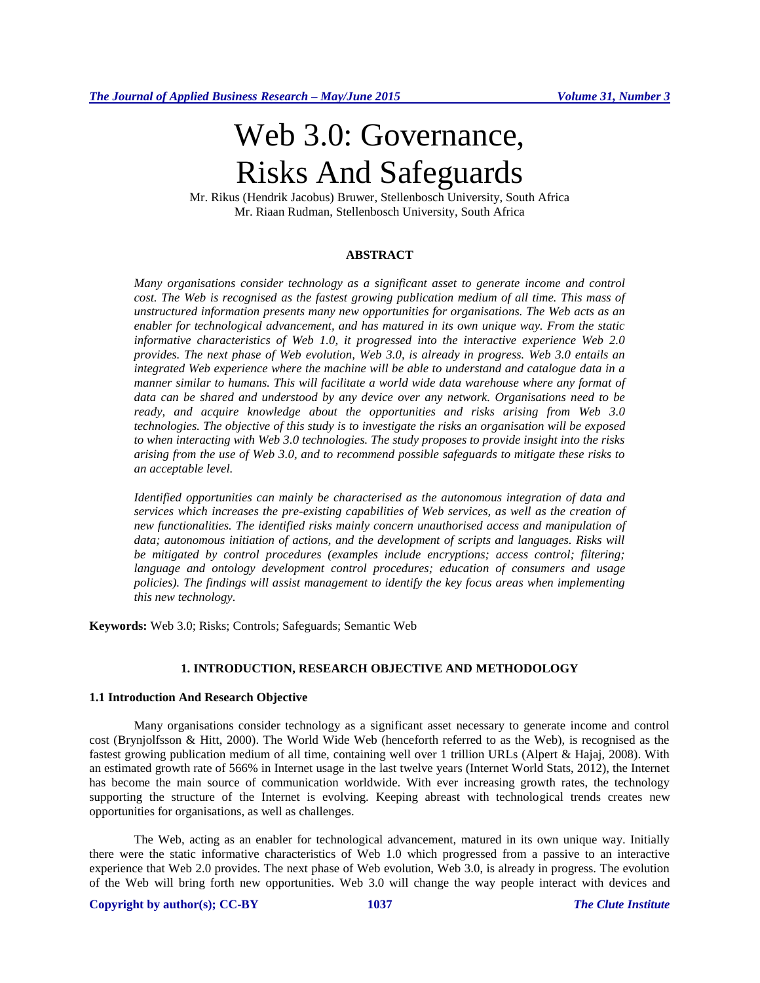# Web 3.0: Governance, Risks And Safeguards

Mr. Rikus (Hendrik Jacobus) Bruwer, Stellenbosch University, South Africa Mr. Riaan Rudman, Stellenbosch University, South Africa

# **ABSTRACT**

*Many organisations consider technology as a significant asset to generate income and control cost. The Web is recognised as the fastest growing publication medium of all time. This mass of unstructured information presents many new opportunities for organisations. The Web acts as an enabler for technological advancement, and has matured in its own unique way. From the static informative characteristics of Web 1.0, it progressed into the interactive experience Web 2.0 provides. The next phase of Web evolution, Web 3.0, is already in progress. Web 3.0 entails an integrated Web experience where the machine will be able to understand and catalogue data in a manner similar to humans. This will facilitate a world wide data warehouse where any format of data can be shared and understood by any device over any network. Organisations need to be ready, and acquire knowledge about the opportunities and risks arising from Web 3.0 technologies. The objective of this study is to investigate the risks an organisation will be exposed to when interacting with Web 3.0 technologies. The study proposes to provide insight into the risks arising from the use of Web 3.0, and to recommend possible safeguards to mitigate these risks to an acceptable level.*

*Identified opportunities can mainly be characterised as the autonomous integration of data and services which increases the pre-existing capabilities of Web services, as well as the creation of new functionalities. The identified risks mainly concern unauthorised access and manipulation of*  data; autonomous initiation of actions, and the development of scripts and languages. Risks will *be mitigated by control procedures (examples include encryptions; access control; filtering; language and ontology development control procedures; education of consumers and usage policies). The findings will assist management to identify the key focus areas when implementing this new technology.*

**Keywords:** Web 3.0; Risks; Controls; Safeguards; Semantic Web

# **1. INTRODUCTION, RESEARCH OBJECTIVE AND METHODOLOGY**

#### **1.1 Introduction And Research Objective**

Many organisations consider technology as a significant asset necessary to generate income and control cost (Brynjolfsson & Hitt, 2000). The World Wide Web (henceforth referred to as the Web), is recognised as the fastest growing publication medium of all time, containing well over 1 trillion URLs (Alpert & Hajaj, 2008). With an estimated growth rate of 566% in Internet usage in the last twelve years (Internet World Stats, 2012), the Internet has become the main source of communication worldwide. With ever increasing growth rates, the technology supporting the structure of the Internet is evolving. Keeping abreast with technological trends creates new opportunities for organisations, as well as challenges.

The Web, acting as an enabler for technological advancement, matured in its own unique way. Initially there were the static informative characteristics of Web 1.0 which progressed from a passive to an interactive experience that Web 2.0 provides. The next phase of Web evolution, Web 3.0, is already in progress. The evolution of the Web will bring forth new opportunities. Web 3.0 will change the way people interact with devices and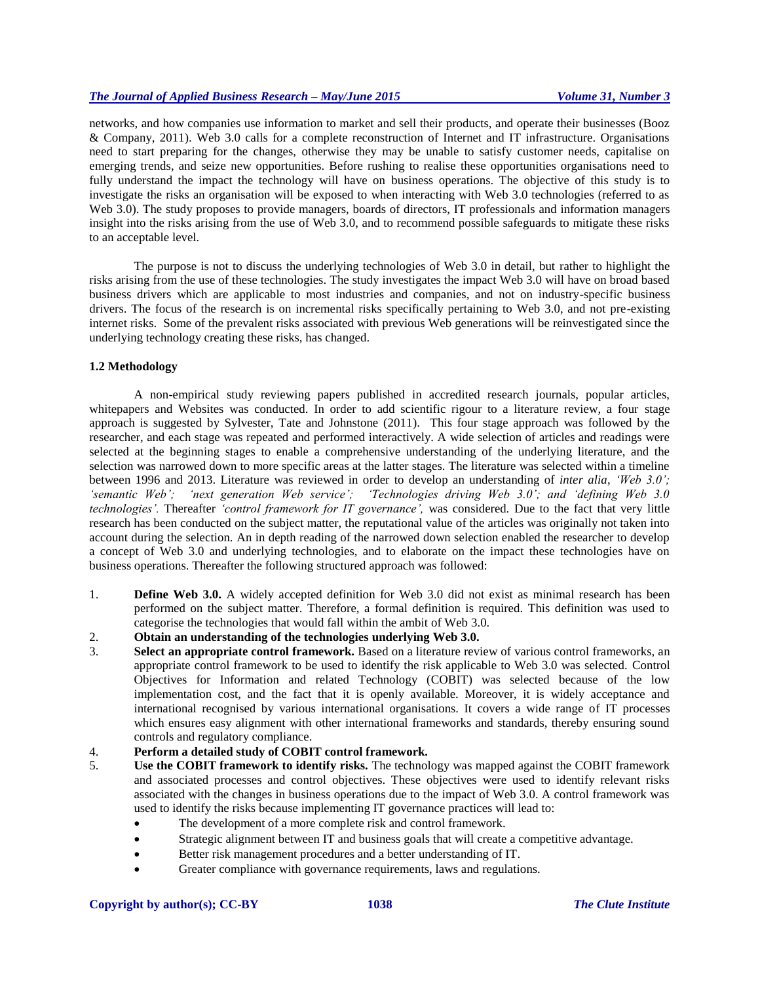networks, and how companies use information to market and sell their products, and operate their businesses (Booz & Company, 2011). Web 3.0 calls for a complete reconstruction of Internet and IT infrastructure. Organisations need to start preparing for the changes, otherwise they may be unable to satisfy customer needs, capitalise on emerging trends, and seize new opportunities. Before rushing to realise these opportunities organisations need to fully understand the impact the technology will have on business operations. The objective of this study is to investigate the risks an organisation will be exposed to when interacting with Web 3.0 technologies (referred to as Web 3.0). The study proposes to provide managers, boards of directors, IT professionals and information managers insight into the risks arising from the use of Web 3.0, and to recommend possible safeguards to mitigate these risks to an acceptable level.

The purpose is not to discuss the underlying technologies of Web 3.0 in detail, but rather to highlight the risks arising from the use of these technologies. The study investigates the impact Web 3.0 will have on broad based business drivers which are applicable to most industries and companies, and not on industry-specific business drivers. The focus of the research is on incremental risks specifically pertaining to Web 3.0, and not pre-existing internet risks. Some of the prevalent risks associated with previous Web generations will be reinvestigated since the underlying technology creating these risks, has changed.

# **1.2 Methodology**

A non-empirical study reviewing papers published in accredited research journals, popular articles, whitepapers and Websites was conducted. In order to add scientific rigour to a literature review, a four stage approach is suggested by Sylvester, Tate and Johnstone (2011). This four stage approach was followed by the researcher, and each stage was repeated and performed interactively. A wide selection of articles and readings were selected at the beginning stages to enable a comprehensive understanding of the underlying literature, and the selection was narrowed down to more specific areas at the latter stages. The literature was selected within a timeline between 1996 and 2013. Literature was reviewed in order to develop an understanding of *inter alia*, *'Web 3.0'; 'semantic Web'; 'next generation Web service'; 'Technologies driving Web 3.0'; and 'defining Web 3.0 technologies'.* Thereafter *'control framework for IT governance',* was considered*.* Due to the fact that very little research has been conducted on the subject matter, the reputational value of the articles was originally not taken into account during the selection. An in depth reading of the narrowed down selection enabled the researcher to develop a concept of Web 3.0 and underlying technologies, and to elaborate on the impact these technologies have on business operations. Thereafter the following structured approach was followed:

- 1. **Define Web 3.0.** A widely accepted definition for Web 3.0 did not exist as minimal research has been performed on the subject matter. Therefore, a formal definition is required. This definition was used to categorise the technologies that would fall within the ambit of Web 3.0.
- 2. **Obtain an understanding of the technologies underlying Web 3.0.**
- 3. **Select an appropriate control framework.** Based on a literature review of various control frameworks, an appropriate control framework to be used to identify the risk applicable to Web 3.0 was selected. Control Objectives for Information and related Technology (COBIT) was selected because of the low implementation cost, and the fact that it is openly available. Moreover, it is widely acceptance and international recognised by various international organisations. It covers a wide range of IT processes which ensures easy alignment with other international frameworks and standards, thereby ensuring sound controls and regulatory compliance.

# 4. **Perform a detailed study of COBIT control framework.**

- 5. **Use the COBIT framework to identify risks.** The technology was mapped against the COBIT framework and associated processes and control objectives. These objectives were used to identify relevant risks associated with the changes in business operations due to the impact of Web 3.0. A control framework was used to identify the risks because implementing IT governance practices will lead to:
	- The development of a more complete risk and control framework.
	- Strategic alignment between IT and business goals that will create a competitive advantage.
	- Better risk management procedures and a better understanding of IT.
	- Greater compliance with governance requirements, laws and regulations.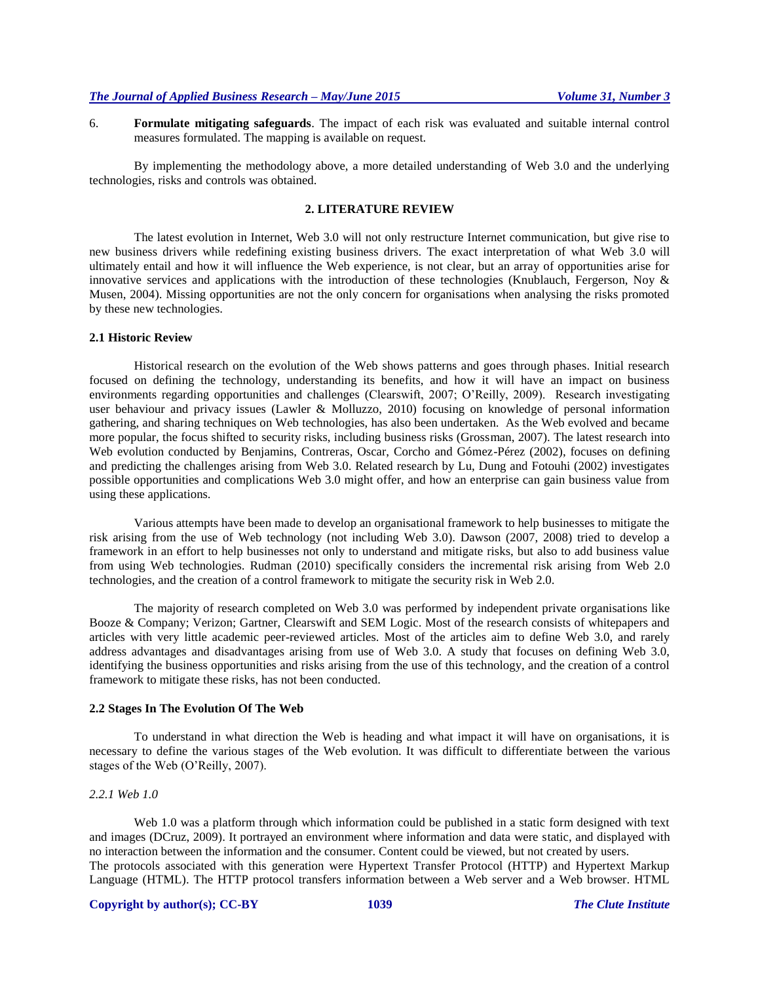6. **Formulate mitigating safeguards**. The impact of each risk was evaluated and suitable internal control measures formulated. The mapping is available on request.

By implementing the methodology above, a more detailed understanding of Web 3.0 and the underlying technologies, risks and controls was obtained.

#### **2. LITERATURE REVIEW**

The latest evolution in Internet, Web 3.0 will not only restructure Internet communication, but give rise to new business drivers while redefining existing business drivers. The exact interpretation of what Web 3.0 will ultimately entail and how it will influence the Web experience, is not clear, but an array of opportunities arise for innovative services and applications with the introduction of these technologies (Knublauch, Fergerson, Noy & Musen, 2004). Missing opportunities are not the only concern for organisations when analysing the risks promoted by these new technologies.

#### **2.1 Historic Review**

Historical research on the evolution of the Web shows patterns and goes through phases. Initial research focused on defining the technology, understanding its benefits, and how it will have an impact on business environments regarding opportunities and challenges (Clearswift, 2007; O'Reilly, 2009). Research investigating user behaviour and privacy issues (Lawler & Molluzzo, 2010) focusing on knowledge of personal information gathering, and sharing techniques on Web technologies, has also been undertaken. As the Web evolved and became more popular, the focus shifted to security risks, including business risks (Grossman, 2007). The latest research into Web evolution conducted by Benjamins, Contreras, Oscar, Corcho and Gómez-Pérez (2002), focuses on defining and predicting the challenges arising from Web 3.0. Related research by Lu, Dung and Fotouhi (2002) investigates possible opportunities and complications Web 3.0 might offer, and how an enterprise can gain business value from using these applications.

Various attempts have been made to develop an organisational framework to help businesses to mitigate the risk arising from the use of Web technology (not including Web 3.0). Dawson (2007, 2008) tried to develop a framework in an effort to help businesses not only to understand and mitigate risks, but also to add business value from using Web technologies. Rudman (2010) specifically considers the incremental risk arising from Web 2.0 technologies, and the creation of a control framework to mitigate the security risk in Web 2.0.

The majority of research completed on Web 3.0 was performed by independent private organisations like Booze & Company; Verizon; Gartner, Clearswift and SEM Logic. Most of the research consists of whitepapers and articles with very little academic peer-reviewed articles. Most of the articles aim to define Web 3.0, and rarely address advantages and disadvantages arising from use of Web 3.0. A study that focuses on defining Web 3.0, identifying the business opportunities and risks arising from the use of this technology, and the creation of a control framework to mitigate these risks, has not been conducted.

#### **2.2 Stages In The Evolution Of The Web**

To understand in what direction the Web is heading and what impact it will have on organisations, it is necessary to define the various stages of the Web evolution. It was difficult to differentiate between the various stages of the Web (O'Reilly, 2007).

#### *2.2.1 Web 1.0*

Web 1.0 was a platform through which information could be published in a static form designed with text and images (DCruz, 2009). It portrayed an environment where information and data were static, and displayed with no interaction between the information and the consumer. Content could be viewed, but not created by users. The protocols associated with this generation were Hypertext Transfer Protocol (HTTP) and Hypertext Markup Language (HTML). The HTTP protocol transfers information between a Web server and a Web browser. HTML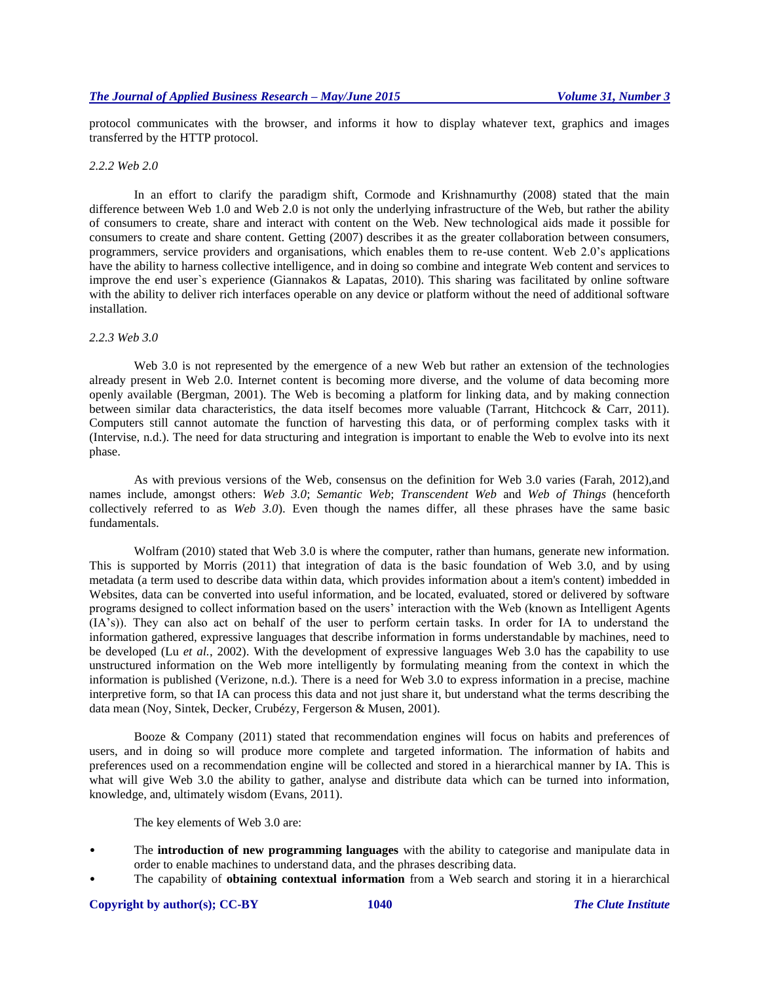protocol communicates with the browser, and informs it how to display whatever text, graphics and images transferred by the HTTP protocol.

#### *2.2.2 Web 2.0*

In an effort to clarify the paradigm shift, Cormode and Krishnamurthy (2008) stated that the main difference between Web 1.0 and Web 2.0 is not only the underlying infrastructure of the Web, but rather the ability of consumers to create, share and interact with content on the Web. New technological aids made it possible for consumers to create and share content. Getting (2007) describes it as the greater collaboration between consumers, programmers, service providers and organisations, which enables them to re-use content. Web 2.0's applications have the ability to harness collective intelligence, and in doing so combine and integrate Web content and services to improve the end user`s experience (Giannakos & Lapatas, 2010). This sharing was facilitated by online software with the ability to deliver rich interfaces operable on any device or platform without the need of additional software installation.

#### *2.2.3 Web 3.0*

Web 3.0 is not represented by the emergence of a new Web but rather an extension of the technologies already present in Web 2.0. Internet content is becoming more diverse, and the volume of data becoming more openly available (Bergman, 2001). The Web is becoming a platform for linking data, and by making connection between similar data characteristics, the data itself becomes more valuable (Tarrant, Hitchcock & Carr, 2011). Computers still cannot automate the function of harvesting this data, or of performing complex tasks with it (Intervise, n.d.). The need for data structuring and integration is important to enable the Web to evolve into its next phase.

As with previous versions of the Web, consensus on the definition for Web 3.0 varies (Farah, 2012),and names include, amongst others: *Web 3.0*; *Semantic Web*; *Transcendent Web* and *Web of Things* (henceforth collectively referred to as *Web 3.0*). Even though the names differ, all these phrases have the same basic fundamentals.

Wolfram (2010) stated that Web 3.0 is where the computer, rather than humans, generate new information. This is supported by Morris (2011) that integration of data is the basic foundation of Web 3.0, and by using metadata (a term used to describe data within data, which provides information about a item's content) imbedded in Websites, data can be converted into useful information, and be located, evaluated, stored or delivered by software programs designed to collect information based on the users' interaction with the Web (known as Intelligent Agents (IA's)). They can also act on behalf of the user to perform certain tasks. In order for IA to understand the information gathered, expressive languages that describe information in forms understandable by machines, need to be developed (Lu *et al.*, 2002). With the development of expressive languages Web 3.0 has the capability to use unstructured information on the Web more intelligently by formulating meaning from the context in which the information is published (Verizone, n.d.). There is a need for Web 3.0 to express information in a precise, machine interpretive form, so that IA can process this data and not just share it, but understand what the terms describing the data mean (Noy, Sintek, Decker, Crubézy, Fergerson & Musen, 2001).

Booze & Company (2011) stated that recommendation engines will focus on habits and preferences of users, and in doing so will produce more complete and targeted information. The information of habits and preferences used on a recommendation engine will be collected and stored in a hierarchical manner by IA. This is what will give Web 3.0 the ability to gather, analyse and distribute data which can be turned into information, knowledge, and, ultimately wisdom (Evans, 2011).

The key elements of Web 3.0 are:

- The **introduction of new programming languages** with the ability to categorise and manipulate data in order to enable machines to understand data, and the phrases describing data.
- The capability of **obtaining contextual information** from a Web search and storing it in a hierarchical

#### **Copyright by author(s); CC-BY 1040** *The Clute Institute*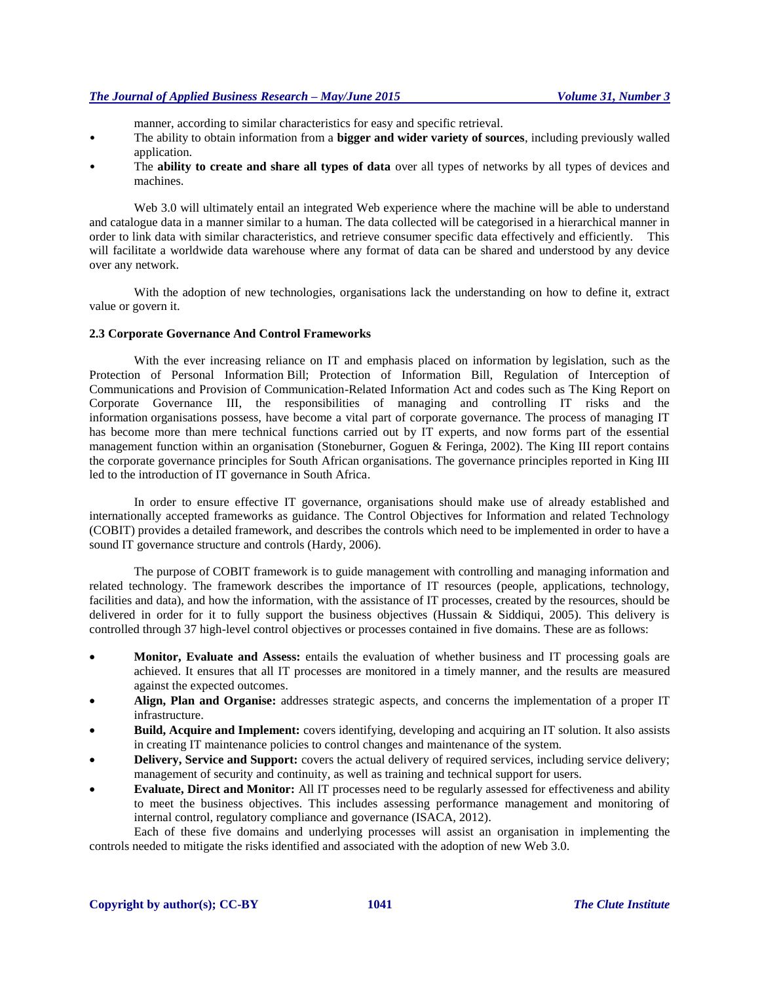manner, according to similar characteristics for easy and specific retrieval.

- The ability to obtain information from a **bigger and wider variety of sources**, including previously walled application.
- The **ability to create and share all types of data** over all types of networks by all types of devices and machines.

Web 3.0 will ultimately entail an integrated Web experience where the machine will be able to understand and catalogue data in a manner similar to a human. The data collected will be categorised in a hierarchical manner in order to link data with similar characteristics, and retrieve consumer specific data effectively and efficiently. This will facilitate a worldwide data warehouse where any format of data can be shared and understood by any device over any network.

With the adoption of new technologies, organisations lack the understanding on how to define it, extract value or govern it.

## **2.3 Corporate Governance And Control Frameworks**

With the ever increasing reliance on IT and emphasis placed on information by legislation, such as the Protection of Personal Information Bill; Protection of Information Bill, Regulation of Interception of Communications and Provision of Communication-Related Information Act and codes such as The King Report on Corporate Governance III, the responsibilities of managing and controlling IT risks and the information organisations possess, have become a vital part of corporate governance. The process of managing IT has become more than mere technical functions carried out by IT experts, and now forms part of the essential management function within an organisation (Stoneburner, Goguen & Feringa, 2002). The King III report contains the corporate governance principles for South African organisations. The governance principles reported in King III led to the introduction of IT governance in South Africa.

In order to ensure effective IT governance, organisations should make use of already established and internationally accepted frameworks as guidance. The Control Objectives for Information and related Technology (COBIT) provides a detailed framework, and describes the controls which need to be implemented in order to have a sound IT governance structure and controls (Hardy, 2006).

The purpose of COBIT framework is to guide management with controlling and managing information and related technology. The framework describes the importance of IT resources (people, applications, technology, facilities and data), and how the information, with the assistance of IT processes, created by the resources, should be delivered in order for it to fully support the business objectives (Hussain & Siddiqui, 2005). This delivery is controlled through 37 high-level control objectives or processes contained in five domains. These are as follows:

- **Monitor, Evaluate and Assess:** entails the evaluation of whether business and IT processing goals are achieved. It ensures that all IT processes are monitored in a timely manner, and the results are measured against the expected outcomes.
- **Align, Plan and Organise:** addresses strategic aspects, and concerns the implementation of a proper IT infrastructure.
- **Build, Acquire and Implement:** covers identifying, developing and acquiring an IT solution. It also assists in creating IT maintenance policies to control changes and maintenance of the system.
- **Delivery, Service and Support:** covers the actual delivery of required services, including service delivery; management of security and continuity, as well as training and technical support for users.
- **Evaluate, Direct and Monitor:** All IT processes need to be regularly assessed for effectiveness and ability to meet the business objectives. This includes assessing performance management and monitoring of internal control, regulatory compliance and governance (ISACA, 2012).

Each of these five domains and underlying processes will assist an organisation in implementing the controls needed to mitigate the risks identified and associated with the adoption of new Web 3.0.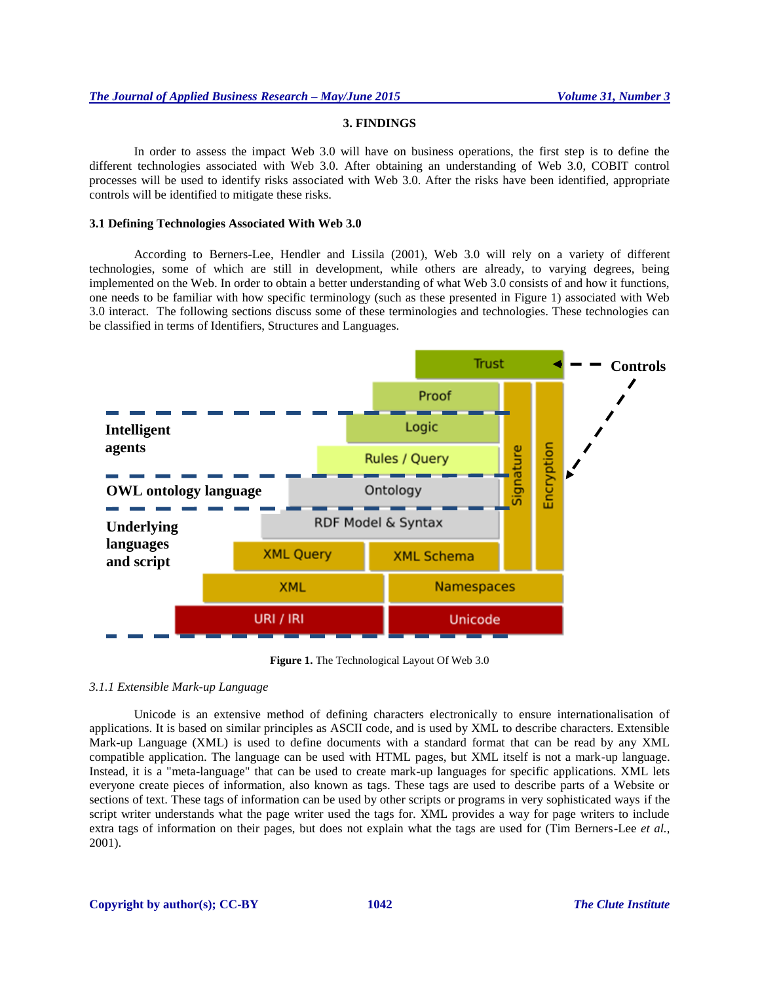# **3. FINDINGS**

In order to assess the impact Web 3.0 will have on business operations, the first step is to define the different technologies associated with Web 3.0. After obtaining an understanding of Web 3.0, COBIT control processes will be used to identify risks associated with Web 3.0. After the risks have been identified, appropriate controls will be identified to mitigate these risks.

# **3.1 Defining Technologies Associated With Web 3.0**

According to Berners-Lee, Hendler and Lissila (2001), Web 3.0 will rely on a variety of different technologies, some of which are still in development, while others are already, to varying degrees, being implemented on the Web. In order to obtain a better understanding of what Web 3.0 consists of and how it functions, one needs to be familiar with how specific terminology (such as these presented in Figure 1) associated with Web 3.0 interact. The following sections discuss some of these terminologies and technologies. These technologies can be classified in terms of Identifiers, Structures and Languages.



**Figure 1.** The Technological Layout Of Web 3.0

#### *3.1.1 Extensible Mark-up Language*

Unicode is an extensive method of defining characters electronically to ensure internationalisation of applications. It is based on similar principles as ASCII code, and is used by XML to describe characters. Extensible Mark-up Language (XML) is used to define documents with a standard format that can be read by any XML compatible application. The language can be used with HTML pages, but XML itself is not a mark-up language. Instead, it is a "meta-language" that can be used to create mark-up languages for specific applications. XML lets everyone create pieces of information, also known as tags. These tags are used to describe parts of a Website or sections of text. These tags of information can be used by other scripts or programs in very sophisticated ways if the script writer understands what the page writer used the tags for. XML provides a way for page writers to include extra tags of information on their pages, but does not explain what the tags are used for (Tim Berners-Lee *et al.*, 2001).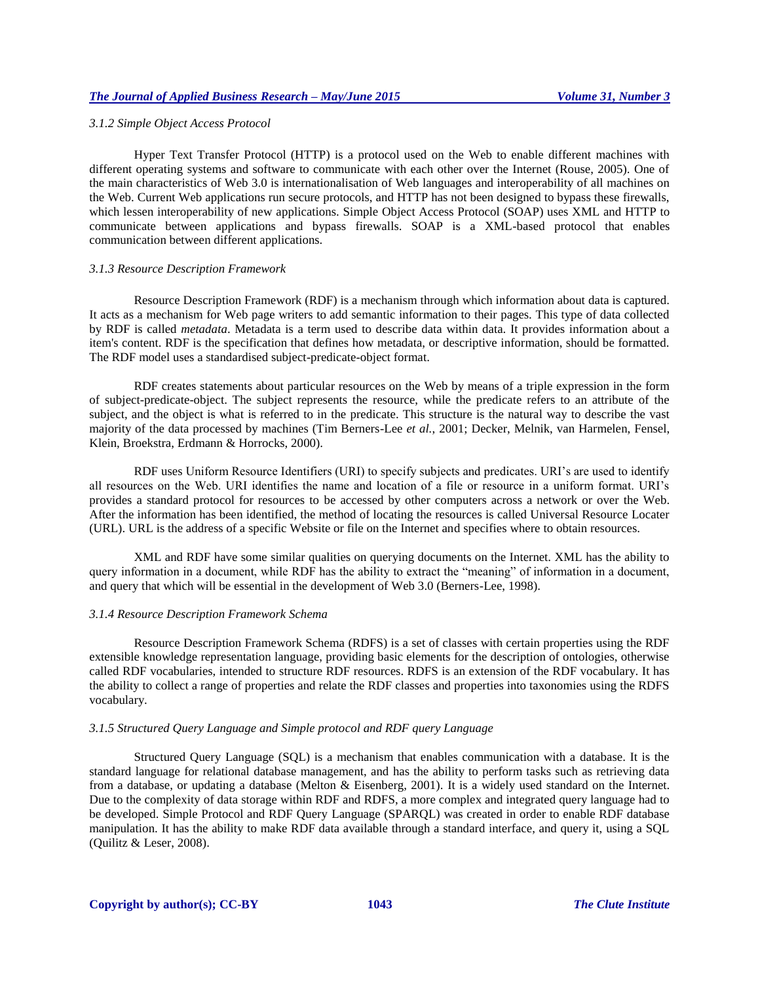#### *3.1.2 Simple Object Access Protocol*

Hyper Text Transfer Protocol (HTTP) is a protocol used on the Web to enable different machines with different operating systems and software to communicate with each other over the Internet (Rouse, 2005). One of the main characteristics of Web 3.0 is internationalisation of Web languages and interoperability of all machines on the Web. Current Web applications run secure protocols, and HTTP has not been designed to bypass these firewalls, which lessen interoperability of new applications. Simple Object Access Protocol (SOAP) uses XML and HTTP to communicate between applications and bypass firewalls. SOAP is a XML-based protocol that enables communication between different applications.

#### *3.1.3 Resource Description Framework*

Resource Description Framework (RDF) is a mechanism through which information about data is captured. It acts as a mechanism for Web page writers to add semantic information to their pages. This type of data collected by RDF is called *metadata*. Metadata is a term used to describe data within data. It provides information about a item's content. RDF is the specification that defines how metadata, or descriptive information, should be formatted. The RDF model uses a standardised subject-predicate-object format.

RDF creates statements about particular resources on the Web by means of a triple expression in the form of subject-predicate-object. The subject represents the resource, while the predicate refers to an attribute of the subject, and the object is what is referred to in the predicate. This structure is the natural way to describe the vast majority of the data processed by machines (Tim Berners-Lee *et al.*, 2001; Decker, Melnik, van Harmelen, Fensel, Klein, Broekstra, Erdmann & Horrocks, 2000).

RDF uses Uniform Resource Identifiers (URI) to specify subjects and predicates. URI's are used to identify all resources on the Web. URI identifies the name and location of a file or resource in a uniform format. URI's provides a standard protocol for resources to be accessed by other computers across a network or over the Web. After the information has been identified, the method of locating the resources is called Universal Resource Locater (URL). URL is the address of a specific Website or file on the Internet and specifies where to obtain resources.

XML and RDF have some similar qualities on querying documents on the Internet. XML has the ability to query information in a document, while RDF has the ability to extract the "meaning" of information in a document, and query that which will be essential in the development of Web 3.0 (Berners-Lee, 1998).

#### *3.1.4 Resource Description Framework Schema*

Resource Description Framework Schema (RDFS) is a set of classes with certain properties using the RDF extensible knowledge representation language, providing basic elements for the description of ontologies, otherwise called RDF vocabularies, intended to structure RDF resources. RDFS is an extension of the RDF vocabulary. It has the ability to collect a range of properties and relate the RDF classes and properties into taxonomies using the RDFS vocabulary.

#### *3.1.5 Structured Query Language and Simple protocol and RDF query Language*

Structured Query Language (SQL) is a mechanism that enables communication with a database. It is the standard language for relational database management, and has the ability to perform tasks such as retrieving data from a database, or updating a database (Melton & Eisenberg, 2001). It is a widely used standard on the Internet. Due to the complexity of data storage within RDF and RDFS, a more complex and integrated query language had to be developed. Simple Protocol and RDF Query Language (SPARQL) was created in order to enable RDF database manipulation. It has the ability to make RDF data available through a standard interface, and query it, using a SQL (Quilitz & Leser, 2008).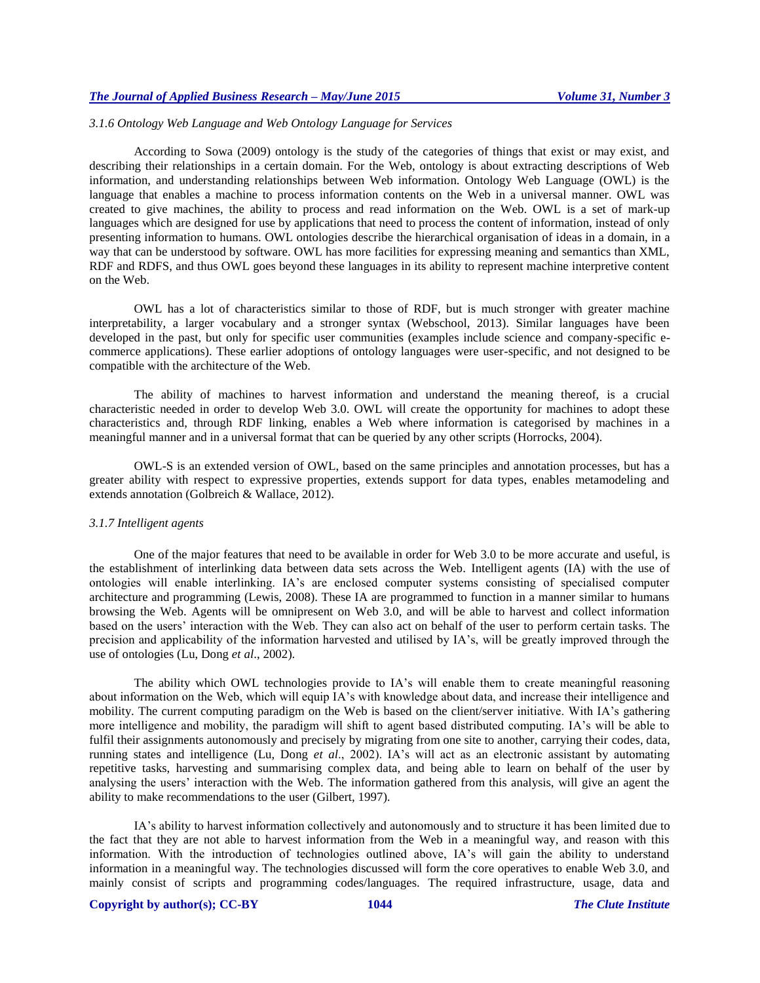# *3.1.6 Ontology Web Language and Web Ontology Language for Services*

According to Sowa (2009) ontology is the study of the categories of things that exist or may exist, and describing their relationships in a certain domain. For the Web, ontology is about extracting descriptions of Web information, and understanding relationships between Web information. Ontology Web Language (OWL) is the language that enables a machine to process information contents on the Web in a universal manner. OWL was created to give machines, the ability to process and read information on the Web. OWL is a set of mark-up languages which are designed for use by applications that need to process the content of information, instead of only presenting information to humans. OWL ontologies describe the hierarchical organisation of ideas in a domain, in a way that can be understood by software. OWL has more facilities for expressing meaning and semantics than XML, RDF and RDFS, and thus OWL goes beyond these languages in its ability to represent machine interpretive content on the Web.

OWL has a lot of characteristics similar to those of RDF, but is much stronger with greater machine interpretability, a larger vocabulary and a stronger syntax (Webschool, 2013). Similar languages have been developed in the past, but only for specific user communities (examples include science and company-specific ecommerce applications). These earlier adoptions of ontology languages were user-specific, and not designed to be compatible with the architecture of the Web.

The ability of machines to harvest information and understand the meaning thereof, is a crucial characteristic needed in order to develop Web 3.0. OWL will create the opportunity for machines to adopt these characteristics and, through RDF linking, enables a Web where information is categorised by machines in a meaningful manner and in a universal format that can be queried by any other scripts (Horrocks, 2004).

OWL-S is an extended version of OWL, based on the same principles and annotation processes, but has a greater ability with respect to expressive properties, extends support for data types, enables metamodeling and extends annotation (Golbreich & Wallace, 2012).

#### *3.1.7 Intelligent agents*

One of the major features that need to be available in order for Web 3.0 to be more accurate and useful, is the establishment of interlinking data between data sets across the Web. Intelligent agents (IA) with the use of ontologies will enable interlinking. IA's are enclosed computer systems consisting of specialised computer architecture and programming (Lewis, 2008). These IA are programmed to function in a manner similar to humans browsing the Web. Agents will be omnipresent on Web 3.0, and will be able to harvest and collect information based on the users' interaction with the Web. They can also act on behalf of the user to perform certain tasks. The precision and applicability of the information harvested and utilised by IA's, will be greatly improved through the use of ontologies (Lu, Dong *et al*., 2002).

The ability which OWL technologies provide to IA's will enable them to create meaningful reasoning about information on the Web, which will equip IA's with knowledge about data, and increase their intelligence and mobility. The current computing paradigm on the Web is based on the client/server initiative. With IA's gathering more intelligence and mobility, the paradigm will shift to agent based distributed computing. IA's will be able to fulfil their assignments autonomously and precisely by migrating from one site to another, carrying their codes, data, running states and intelligence (Lu, Dong *et al*., 2002). IA's will act as an electronic assistant by automating repetitive tasks, harvesting and summarising complex data, and being able to learn on behalf of the user by analysing the users' interaction with the Web. The information gathered from this analysis, will give an agent the ability to make recommendations to the user (Gilbert, 1997).

IA's ability to harvest information collectively and autonomously and to structure it has been limited due to the fact that they are not able to harvest information from the Web in a meaningful way, and reason with this information. With the introduction of technologies outlined above, IA's will gain the ability to understand information in a meaningful way. The technologies discussed will form the core operatives to enable Web 3.0, and mainly consist of scripts and programming codes/languages. The required infrastructure, usage, data and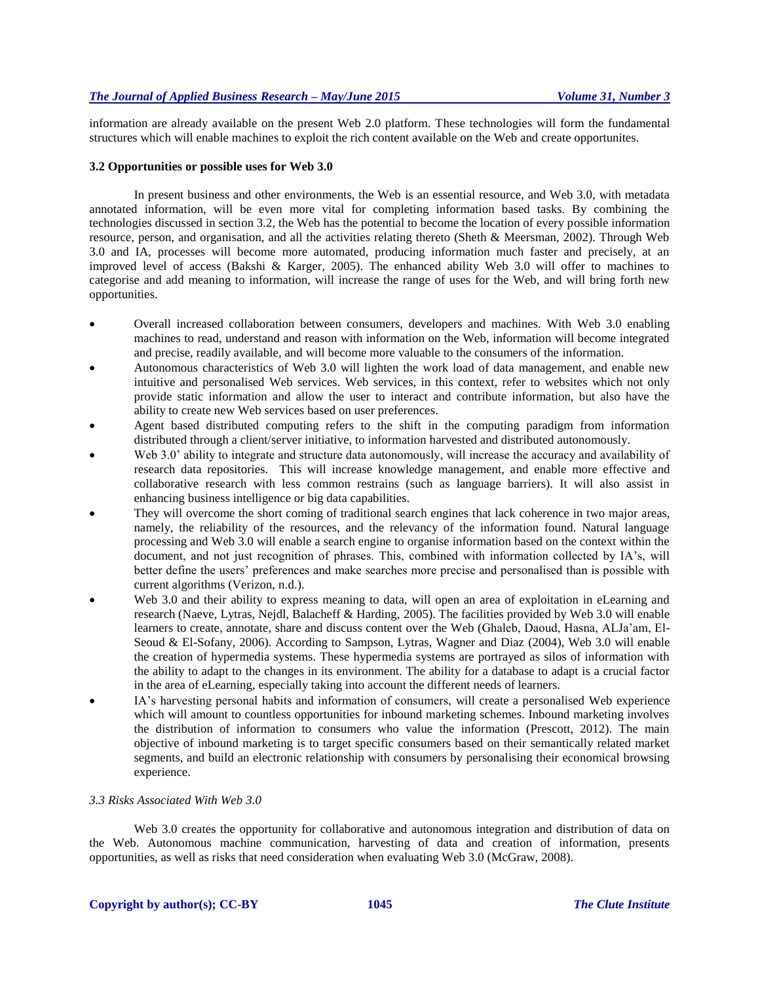information are already available on the present Web 2.0 platform. These technologies will form the fundamental structures which will enable machines to exploit the rich content available on the Web and create opportunites.

#### **3.2 Opportunities or possible uses for Web 3.0**

In present business and other environments, the Web is an essential resource, and Web 3.0, with metadata annotated information, will be even more vital for completing information based tasks. By combining the technologies discussed in section 3.2, the Web has the potential to become the location of every possible information resource, person, and organisation, and all the activities relating thereto (Sheth & Meersman, 2002). Through Web 3.0 and IA, processes will become more automated, producing information much faster and precisely, at an improved level of access (Bakshi & Karger, 2005). The enhanced ability Web 3.0 will offer to machines to categorise and add meaning to information, will increase the range of uses for the Web, and will bring forth new opportunities.

- Overall increased collaboration between consumers, developers and machines. With Web 3.0 enabling machines to read, understand and reason with information on the Web, information will become integrated and precise, readily available, and will become more valuable to the consumers of the information.
- Autonomous characteristics of Web 3.0 will lighten the work load of data management, and enable new intuitive and personalised Web services. Web services, in this context, refer to websites which not only provide static information and allow the user to interact and contribute information, but also have the ability to create new Web services based on user preferences.
- Agent based distributed computing refers to the shift in the computing paradigm from information distributed through a client/server initiative, to information harvested and distributed autonomously.
- Web 3.0' ability to integrate and structure data autonomously, will increase the accuracy and availability of research data repositories. This will increase knowledge management, and enable more effective and collaborative research with less common restrains (such as language barriers). It will also assist in enhancing business intelligence or big data capabilities.
- They will overcome the short coming of traditional search engines that lack coherence in two major areas, namely, the reliability of the resources, and the relevancy of the information found. Natural language processing and Web 3.0 will enable a search engine to organise information based on the context within the document, and not just recognition of phrases. This, combined with information collected by IA's, will better define the users' preferences and make searches more precise and personalised than is possible with current algorithms (Verizon, n.d.).
- Web 3.0 and their ability to express meaning to data, will open an area of exploitation in eLearning and research (Naeve, Lytras, Nejdl, Balacheff & Harding, 2005). The facilities provided by Web 3.0 will enable learners to create, annotate, share and discuss content over the Web (Ghaleb, Daoud, Hasna, ALJa'am, El-Seoud & El-Sofany, 2006). According to Sampson, Lytras, Wagner and Diaz (2004), Web 3.0 will enable the creation of hypermedia systems. These hypermedia systems are portrayed as silos of information with the ability to adapt to the changes in its environment. The ability for a database to adapt is a crucial factor in the area of eLearning, especially taking into account the different needs of learners.
- IA's harvesting personal habits and information of consumers, will create a personalised Web experience which will amount to countless opportunities for inbound marketing schemes. Inbound marketing involves the distribution of information to consumers who value the information (Prescott, 2012). The main objective of inbound marketing is to target specific consumers based on their semantically related market segments, and build an electronic relationship with consumers by personalising their economical browsing experience.

# *3.3 Risks Associated With Web 3.0*

Web 3.0 creates the opportunity for collaborative and autonomous integration and distribution of data on the Web. Autonomous machine communication, harvesting of data and creation of information, presents opportunities, as well as risks that need consideration when evaluating Web 3.0 (McGraw, 2008).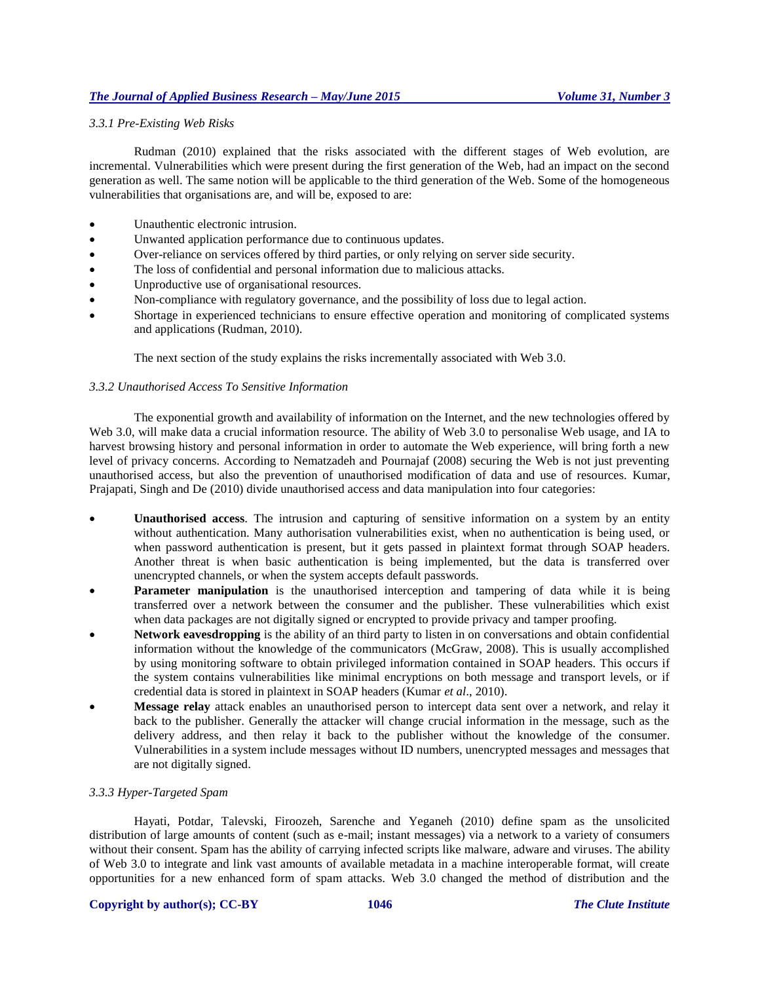# *3.3.1 Pre-Existing Web Risks*

Rudman (2010) explained that the risks associated with the different stages of Web evolution, are incremental. Vulnerabilities which were present during the first generation of the Web, had an impact on the second generation as well. The same notion will be applicable to the third generation of the Web. Some of the homogeneous vulnerabilities that organisations are, and will be, exposed to are:

- Unauthentic electronic intrusion.
- Unwanted application performance due to continuous updates.
- Over-reliance on services offered by third parties, or only relying on server side security.
- The loss of confidential and personal information due to malicious attacks.
- Unproductive use of organisational resources.
- Non-compliance with regulatory governance, and the possibility of loss due to legal action.
- Shortage in experienced technicians to ensure effective operation and monitoring of complicated systems and applications (Rudman, 2010).

The next section of the study explains the risks incrementally associated with Web 3.0.

# *3.3.2 Unauthorised Access To Sensitive Information*

The exponential growth and availability of information on the Internet, and the new technologies offered by Web 3.0, will make data a crucial information resource. The ability of Web 3.0 to personalise Web usage, and IA to harvest browsing history and personal information in order to automate the Web experience, will bring forth a new level of privacy concerns. According to Nematzadeh and Pournajaf (2008) securing the Web is not just preventing unauthorised access, but also the prevention of unauthorised modification of data and use of resources. Kumar, Prajapati, Singh and De (2010) divide unauthorised access and data manipulation into four categories:

- **Unauthorised access**. The intrusion and capturing of sensitive information on a system by an entity without authentication. Many authorisation vulnerabilities exist, when no authentication is being used, or when password authentication is present, but it gets passed in plaintext format through SOAP headers. Another threat is when basic authentication is being implemented, but the data is transferred over unencrypted channels, or when the system accepts default passwords.
- **Parameter manipulation** is the unauthorised interception and tampering of data while it is being transferred over a network between the consumer and the publisher. These vulnerabilities which exist when data packages are not digitally signed or encrypted to provide privacy and tamper proofing.
- **Network eavesdropping** is the ability of an third party to listen in on conversations and obtain confidential information without the knowledge of the communicators (McGraw, 2008). This is usually accomplished by using monitoring software to obtain privileged information contained in SOAP headers. This occurs if the system contains vulnerabilities like minimal encryptions on both message and transport levels, or if credential data is stored in plaintext in SOAP headers (Kumar *et al*., 2010).
- **Message relay** attack enables an unauthorised person to intercept data sent over a network, and relay it back to the publisher. Generally the attacker will change crucial information in the message, such as the delivery address, and then relay it back to the publisher without the knowledge of the consumer. Vulnerabilities in a system include messages without ID numbers, unencrypted messages and messages that are not digitally signed.

#### *3.3.3 Hyper-Targeted Spam*

Hayati, Potdar, Talevski, Firoozeh, Sarenche and Yeganeh (2010) define spam as the unsolicited distribution of large amounts of content (such as e-mail; instant messages) via a network to a variety of consumers without their consent. Spam has the ability of carrying infected scripts like malware, adware and viruses. The ability of Web 3.0 to integrate and link vast amounts of available metadata in a machine interoperable format, will create opportunities for a new enhanced form of spam attacks. Web 3.0 changed the method of distribution and the

#### **Copyright by author(s); CC-BY 1046** *The Clute Institute*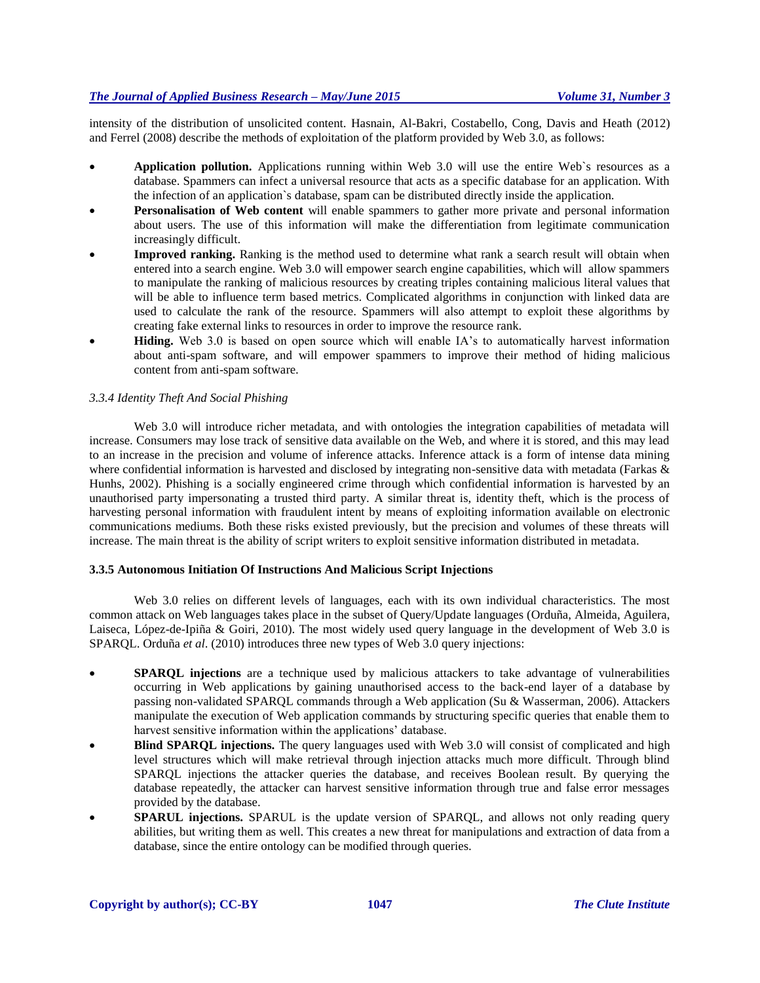intensity of the distribution of unsolicited content. Hasnain, Al-Bakri, Costabello, Cong, Davis and Heath (2012) and Ferrel (2008) describe the methods of exploitation of the platform provided by Web 3.0, as follows:

- **Application pollution.** Applications running within Web 3.0 will use the entire Web`s resources as a database. Spammers can infect a universal resource that acts as a specific database for an application. With the infection of an application`s database, spam can be distributed directly inside the application.
- **Personalisation of Web content** will enable spammers to gather more private and personal information about users. The use of this information will make the differentiation from legitimate communication increasingly difficult.
- **Improved ranking.** Ranking is the method used to determine what rank a search result will obtain when entered into a search engine. Web 3.0 will empower search engine capabilities, which will allow spammers to manipulate the ranking of malicious resources by creating triples containing malicious literal values that will be able to influence term based metrics. Complicated algorithms in conjunction with linked data are used to calculate the rank of the resource. Spammers will also attempt to exploit these algorithms by creating fake external links to resources in order to improve the resource rank.
- **Hiding.** Web 3.0 is based on open source which will enable IA's to automatically harvest information about anti-spam software, and will empower spammers to improve their method of hiding malicious content from anti-spam software.

# *3.3.4 Identity Theft And Social Phishing*

Web 3.0 will introduce richer metadata, and with ontologies the integration capabilities of metadata will increase. Consumers may lose track of sensitive data available on the Web, and where it is stored, and this may lead to an increase in the precision and volume of inference attacks. Inference attack is a form of intense data mining where confidential information is harvested and disclosed by integrating non-sensitive data with metadata (Farkas & Hunhs, 2002). Phishing is a socially engineered crime through which confidential information is harvested by an unauthorised party impersonating a trusted third party. A similar threat is, identity theft, which is the process of harvesting personal information with fraudulent intent by means of exploiting information available on electronic communications mediums. Both these risks existed previously, but the precision and volumes of these threats will increase. The main threat is the ability of script writers to exploit sensitive information distributed in metadata.

#### **3.3.5 Autonomous Initiation Of Instructions And Malicious Script Injections**

Web 3.0 relies on different levels of languages, each with its own individual characteristics. The most common attack on Web languages takes place in the subset of Query/Update languages (Orduña, Almeida, Aguilera, Laiseca, López-de-Ipiña & Goiri, 2010). The most widely used query language in the development of Web 3.0 is SPARQL. Orduña *et al*. (2010) introduces three new types of Web 3.0 query injections:

- **SPARQL injections** are a technique used by malicious attackers to take advantage of vulnerabilities occurring in Web applications by gaining unauthorised access to the back-end layer of a database by passing non-validated SPARQL commands through a Web application (Su & Wasserman, 2006). Attackers manipulate the execution of Web application commands by structuring specific queries that enable them to harvest sensitive information within the applications' database.
- **Blind SPARQL injections.** The query languages used with Web 3.0 will consist of complicated and high level structures which will make retrieval through injection attacks much more difficult. Through blind SPARQL injections the attacker queries the database, and receives Boolean result. By querying the database repeatedly, the attacker can harvest sensitive information through true and false error messages provided by the database.
- **SPARUL injections.** SPARUL is the update version of SPARQL, and allows not only reading query abilities, but writing them as well. This creates a new threat for manipulations and extraction of data from a database, since the entire ontology can be modified through queries.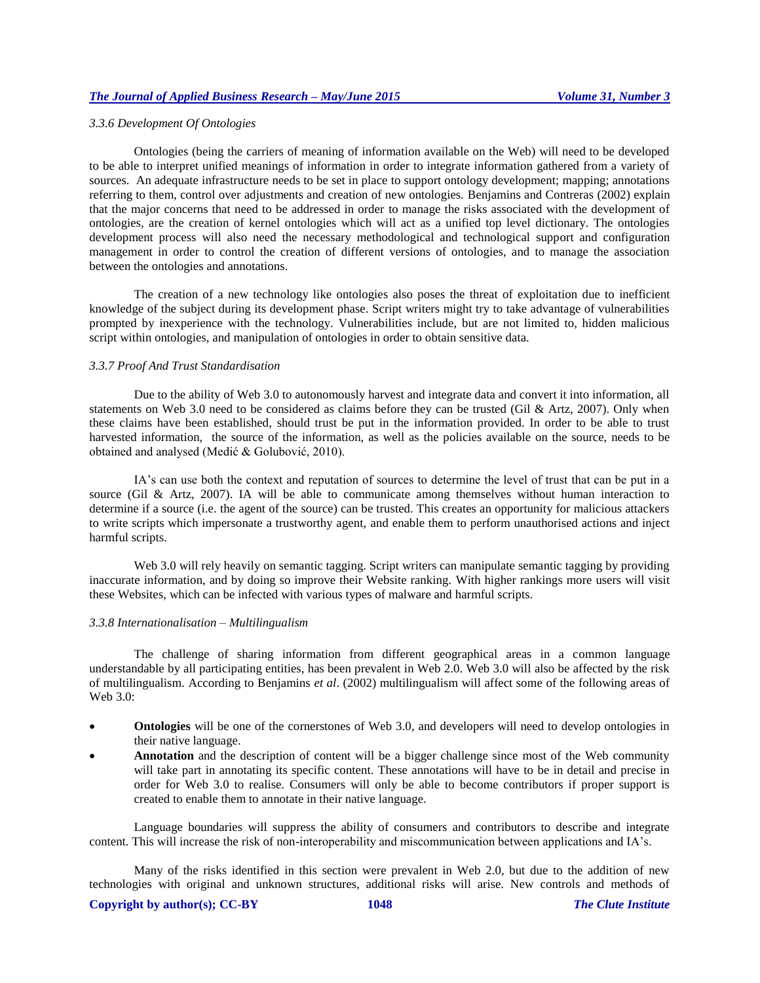#### *3.3.6 Development Of Ontologies*

Ontologies (being the carriers of meaning of information available on the Web) will need to be developed to be able to interpret unified meanings of information in order to integrate information gathered from a variety of sources. An adequate infrastructure needs to be set in place to support ontology development; mapping; annotations referring to them, control over adjustments and creation of new ontologies. Benjamins and Contreras (2002) explain that the major concerns that need to be addressed in order to manage the risks associated with the development of ontologies, are the creation of kernel ontologies which will act as a unified top level dictionary. The ontologies development process will also need the necessary methodological and technological support and configuration management in order to control the creation of different versions of ontologies, and to manage the association between the ontologies and annotations.

The creation of a new technology like ontologies also poses the threat of exploitation due to inefficient knowledge of the subject during its development phase. Script writers might try to take advantage of vulnerabilities prompted by inexperience with the technology. Vulnerabilities include, but are not limited to, hidden malicious script within ontologies, and manipulation of ontologies in order to obtain sensitive data.

#### *3.3.7 Proof And Trust Standardisation*

Due to the ability of Web 3.0 to autonomously harvest and integrate data and convert it into information, all statements on Web 3.0 need to be considered as claims before they can be trusted (Gil & Artz, 2007). Only when these claims have been established, should trust be put in the information provided. In order to be able to trust harvested information, the source of the information, as well as the policies available on the source, needs to be obtained and analysed (Medić & Golubović, 2010).

IA's can use both the context and reputation of sources to determine the level of trust that can be put in a source (Gil & Artz, 2007). IA will be able to communicate among themselves without human interaction to determine if a source (i.e. the agent of the source) can be trusted. This creates an opportunity for malicious attackers to write scripts which impersonate a trustworthy agent, and enable them to perform unauthorised actions and inject harmful scripts.

Web 3.0 will rely heavily on semantic tagging. Script writers can manipulate semantic tagging by providing inaccurate information, and by doing so improve their Website ranking. With higher rankings more users will visit these Websites, which can be infected with various types of malware and harmful scripts.

#### *3.3.8 Internationalisation – Multilingualism*

The challenge of sharing information from different geographical areas in a common language understandable by all participating entities, has been prevalent in Web 2.0. Web 3.0 will also be affected by the risk of multilingualism. According to Benjamins *et al*. (2002) multilingualism will affect some of the following areas of Web 3.0:

- **Ontologies** will be one of the cornerstones of Web 3.0, and developers will need to develop ontologies in their native language.
- **Annotation** and the description of content will be a bigger challenge since most of the Web community will take part in annotating its specific content. These annotations will have to be in detail and precise in order for Web 3.0 to realise. Consumers will only be able to become contributors if proper support is created to enable them to annotate in their native language.

Language boundaries will suppress the ability of consumers and contributors to describe and integrate content. This will increase the risk of non-interoperability and miscommunication between applications and IA's.

Many of the risks identified in this section were prevalent in Web 2.0, but due to the addition of new technologies with original and unknown structures, additional risks will arise. New controls and methods of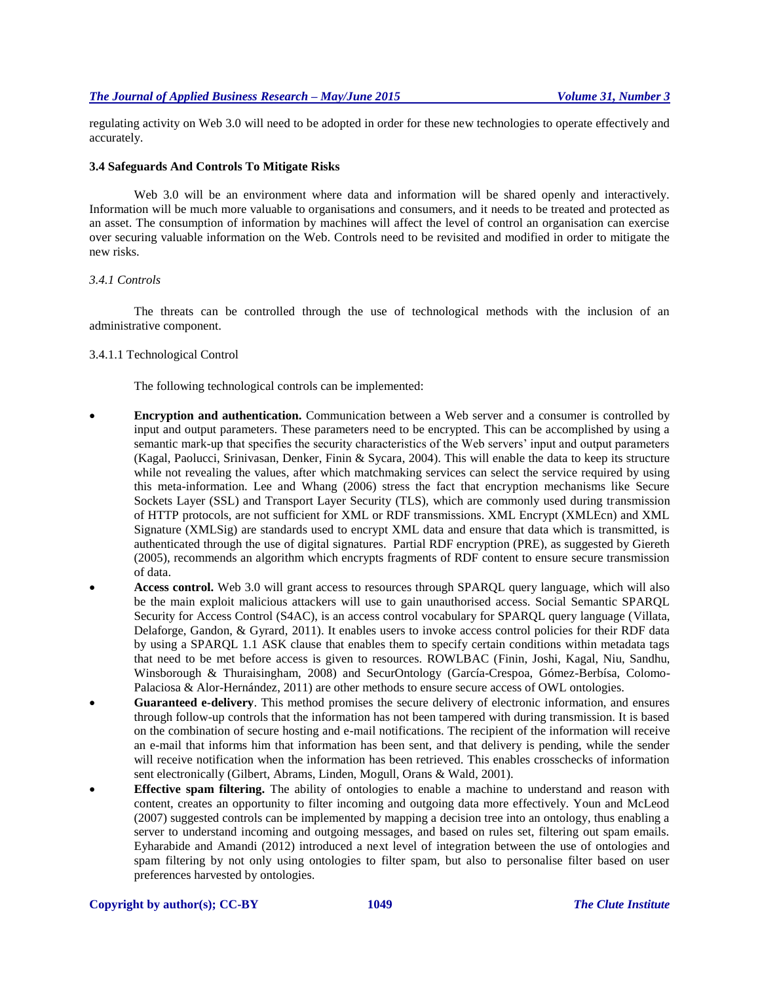regulating activity on Web 3.0 will need to be adopted in order for these new technologies to operate effectively and accurately.

#### **3.4 Safeguards And Controls To Mitigate Risks**

Web 3.0 will be an environment where data and information will be shared openly and interactively. Information will be much more valuable to organisations and consumers, and it needs to be treated and protected as an asset. The consumption of information by machines will affect the level of control an organisation can exercise over securing valuable information on the Web. Controls need to be revisited and modified in order to mitigate the new risks.

#### *3.4.1 Controls*

The threats can be controlled through the use of technological methods with the inclusion of an administrative component.

#### 3.4.1.1 Technological Control

The following technological controls can be implemented:

- **Encryption and authentication.** Communication between a Web server and a consumer is controlled by input and output parameters. These parameters need to be encrypted. This can be accomplished by using a semantic mark-up that specifies the security characteristics of the Web servers' input and output parameters (Kagal, Paolucci, Srinivasan, Denker, Finin & Sycara, 2004). This will enable the data to keep its structure while not revealing the values, after which matchmaking services can select the service required by using this meta-information. Lee and Whang (2006) stress the fact that encryption mechanisms like Secure Sockets Layer (SSL) and Transport Layer Security (TLS), which are commonly used during transmission of HTTP protocols, are not sufficient for XML or RDF transmissions. XML Encrypt (XMLEcn) and XML Signature (XMLSig) are standards used to encrypt XML data and ensure that data which is transmitted, is authenticated through the use of digital signatures. Partial RDF encryption (PRE), as suggested by Giereth (2005), recommends an algorithm which encrypts fragments of RDF content to ensure secure transmission of data.
- **Access control.** Web 3.0 will grant access to resources through SPARQL query language, which will also be the main exploit malicious attackers will use to gain unauthorised access. Social Semantic SPARQL Security for Access Control (S4AC), is an access control vocabulary for SPARQL query language (Villata, Delaforge, Gandon, & Gyrard, 2011). It enables users to invoke access control policies for their RDF data by using a SPARQL 1.1 ASK clause that enables them to specify certain conditions within metadata tags that need to be met before access is given to resources. ROWLBAC (Finin, Joshi, Kagal, Niu, Sandhu, Winsborough & Thuraisingham, 2008) and SecurOntology (García-Crespoa, Gómez-Berbísa, Colomo-Palaciosa & Alor-Hernández, 2011) are other methods to ensure secure access of OWL ontologies.
- **Guaranteed e-delivery**. This method promises the secure delivery of electronic information, and ensures through follow-up controls that the information has not been tampered with during transmission. It is based on the combination of secure hosting and e-mail notifications. The recipient of the information will receive an e-mail that informs him that information has been sent, and that delivery is pending, while the sender will receive notification when the information has been retrieved. This enables crosschecks of information sent electronically (Gilbert, Abrams, Linden, Mogull, Orans & Wald, 2001).
- **Effective spam filtering.** The ability of ontologies to enable a machine to understand and reason with content, creates an opportunity to filter incoming and outgoing data more effectively. Youn and McLeod (2007) suggested controls can be implemented by mapping a decision tree into an ontology, thus enabling a server to understand incoming and outgoing messages, and based on rules set, filtering out spam emails. Eyharabide and Amandi (2012) introduced a next level of integration between the use of ontologies and spam filtering by not only using ontologies to filter spam, but also to personalise filter based on user preferences harvested by ontologies.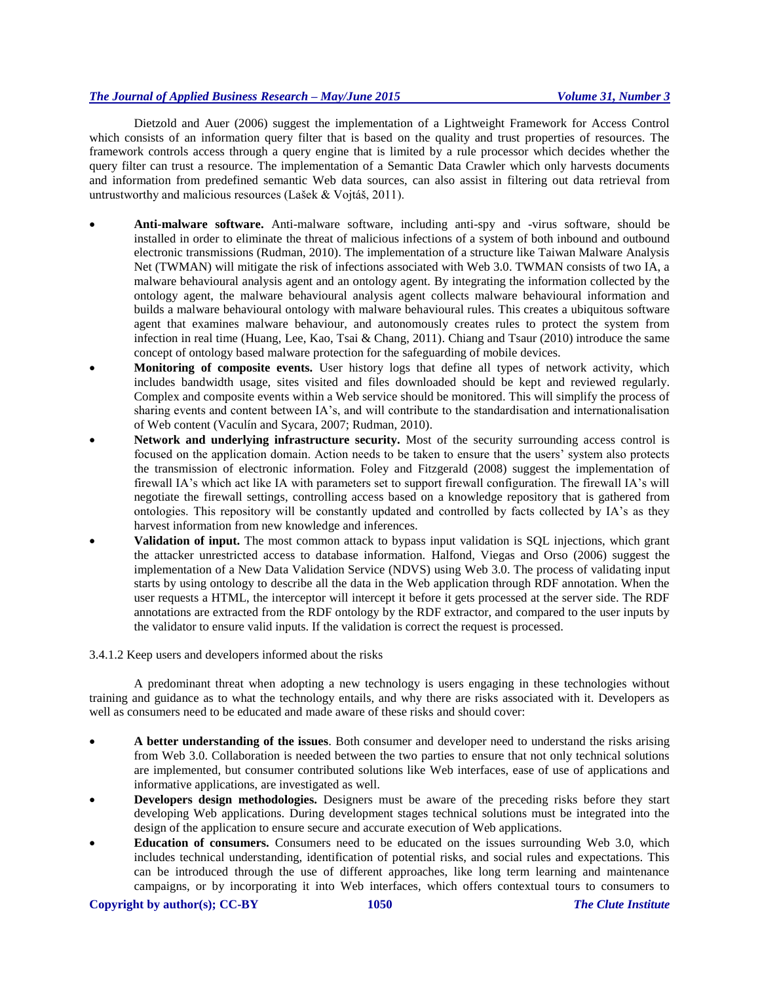Dietzold and Auer (2006) suggest the implementation of a Lightweight Framework for Access Control which consists of an information query filter that is based on the quality and trust properties of resources. The framework controls access through a query engine that is limited by a rule processor which decides whether the query filter can trust a resource. The implementation of a Semantic Data Crawler which only harvests documents and information from predefined semantic Web data sources, can also assist in filtering out data retrieval from untrustworthy and malicious resources (Lašek & Vojtáš, 2011).

- **Anti-malware software.** Anti-malware software, including anti-spy and -virus software, should be installed in order to eliminate the threat of malicious infections of a system of both inbound and outbound electronic transmissions (Rudman, 2010). The implementation of a structure like Taiwan Malware Analysis Net (TWMAN) will mitigate the risk of infections associated with Web 3.0. TWMAN consists of two IA, a malware behavioural analysis agent and an ontology agent. By integrating the information collected by the ontology agent, the malware behavioural analysis agent collects malware behavioural information and builds a malware behavioural ontology with malware behavioural rules. This creates a ubiquitous software agent that examines malware behaviour, and autonomously creates rules to protect the system from infection in real time (Huang, Lee, Kao, Tsai & Chang, 2011). Chiang and Tsaur (2010) introduce the same concept of ontology based malware protection for the safeguarding of mobile devices.
- **Monitoring of composite events.** User history logs that define all types of network activity, which includes bandwidth usage, sites visited and files downloaded should be kept and reviewed regularly. Complex and composite events within a Web service should be monitored. This will simplify the process of sharing events and content between IA's, and will contribute to the standardisation and internationalisation of Web content (Vaculín and Sycara, 2007; Rudman, 2010).
- **Network and underlying infrastructure security.** Most of the security surrounding access control is focused on the application domain. Action needs to be taken to ensure that the users' system also protects the transmission of electronic information. Foley and Fitzgerald (2008) suggest the implementation of firewall IA's which act like IA with parameters set to support firewall configuration. The firewall IA's will negotiate the firewall settings, controlling access based on a knowledge repository that is gathered from ontologies. This repository will be constantly updated and controlled by facts collected by IA's as they harvest information from new knowledge and inferences.
- **Validation of input.** The most common attack to bypass input validation is SQL injections, which grant the attacker unrestricted access to database information. Halfond, Viegas and Orso (2006) suggest the implementation of a New Data Validation Service (NDVS) using Web 3.0. The process of validating input starts by using ontology to describe all the data in the Web application through RDF annotation. When the user requests a HTML, the interceptor will intercept it before it gets processed at the server side. The RDF annotations are extracted from the RDF ontology by the RDF extractor, and compared to the user inputs by the validator to ensure valid inputs. If the validation is correct the request is processed.

# 3.4.1.2 Keep users and developers informed about the risks

A predominant threat when adopting a new technology is users engaging in these technologies without training and guidance as to what the technology entails, and why there are risks associated with it. Developers as well as consumers need to be educated and made aware of these risks and should cover:

- **A better understanding of the issues**. Both consumer and developer need to understand the risks arising from Web 3.0. Collaboration is needed between the two parties to ensure that not only technical solutions are implemented, but consumer contributed solutions like Web interfaces, ease of use of applications and informative applications, are investigated as well.
- **Developers design methodologies.** Designers must be aware of the preceding risks before they start developing Web applications. During development stages technical solutions must be integrated into the design of the application to ensure secure and accurate execution of Web applications.
- **Education of consumers.** Consumers need to be educated on the issues surrounding Web 3.0, which includes technical understanding, identification of potential risks, and social rules and expectations. This can be introduced through the use of different approaches, like long term learning and maintenance campaigns, or by incorporating it into Web interfaces, which offers contextual tours to consumers to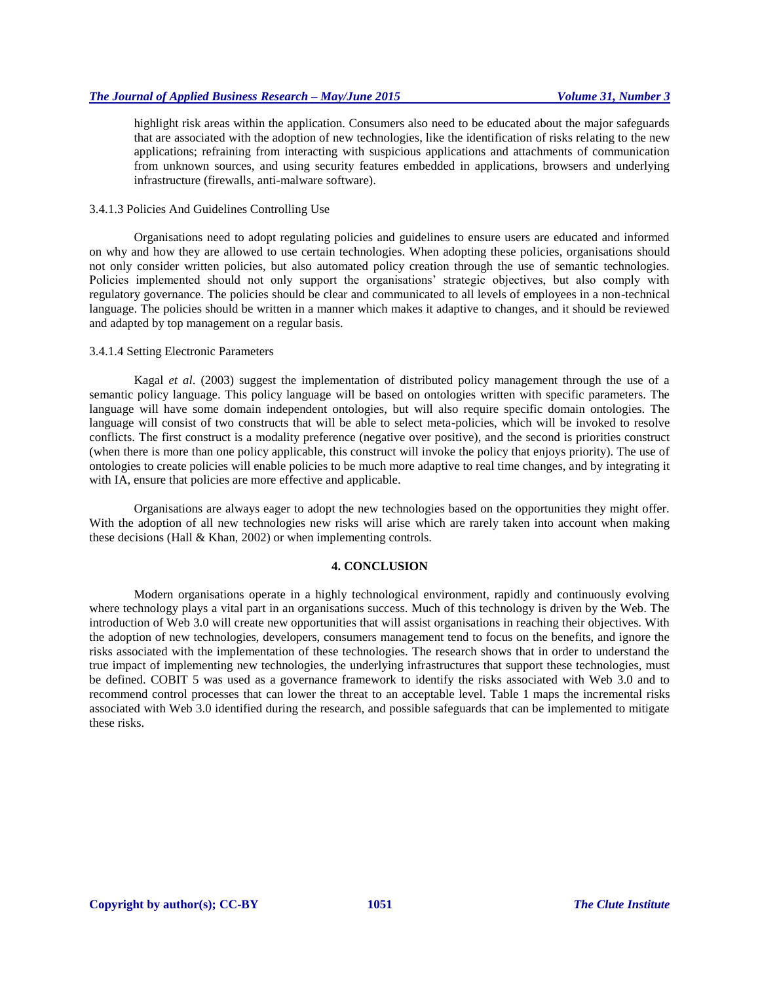highlight risk areas within the application. Consumers also need to be educated about the major safeguards that are associated with the adoption of new technologies, like the identification of risks relating to the new applications; refraining from interacting with suspicious applications and attachments of communication from unknown sources, and using security features embedded in applications, browsers and underlying infrastructure (firewalls, anti-malware software).

#### 3.4.1.3 Policies And Guidelines Controlling Use

Organisations need to adopt regulating policies and guidelines to ensure users are educated and informed on why and how they are allowed to use certain technologies. When adopting these policies, organisations should not only consider written policies, but also automated policy creation through the use of semantic technologies. Policies implemented should not only support the organisations' strategic objectives, but also comply with regulatory governance. The policies should be clear and communicated to all levels of employees in a non-technical language. The policies should be written in a manner which makes it adaptive to changes, and it should be reviewed and adapted by top management on a regular basis.

#### 3.4.1.4 Setting Electronic Parameters

Kagal *et al*. (2003) suggest the implementation of distributed policy management through the use of a semantic policy language. This policy language will be based on ontologies written with specific parameters. The language will have some domain independent ontologies, but will also require specific domain ontologies. The language will consist of two constructs that will be able to select meta-policies, which will be invoked to resolve conflicts. The first construct is a modality preference (negative over positive), and the second is priorities construct (when there is more than one policy applicable, this construct will invoke the policy that enjoys priority). The use of ontologies to create policies will enable policies to be much more adaptive to real time changes, and by integrating it with IA, ensure that policies are more effective and applicable.

Organisations are always eager to adopt the new technologies based on the opportunities they might offer. With the adoption of all new technologies new risks will arise which are rarely taken into account when making these decisions (Hall & Khan, 2002) or when implementing controls.

# **4. CONCLUSION**

Modern organisations operate in a highly technological environment, rapidly and continuously evolving where technology plays a vital part in an organisations success. Much of this technology is driven by the Web. The introduction of Web 3.0 will create new opportunities that will assist organisations in reaching their objectives. With the adoption of new technologies, developers, consumers management tend to focus on the benefits, and ignore the risks associated with the implementation of these technologies. The research shows that in order to understand the true impact of implementing new technologies, the underlying infrastructures that support these technologies, must be defined. COBIT 5 was used as a governance framework to identify the risks associated with Web 3.0 and to recommend control processes that can lower the threat to an acceptable level. Table 1 maps the incremental risks associated with Web 3.0 identified during the research, and possible safeguards that can be implemented to mitigate these risks.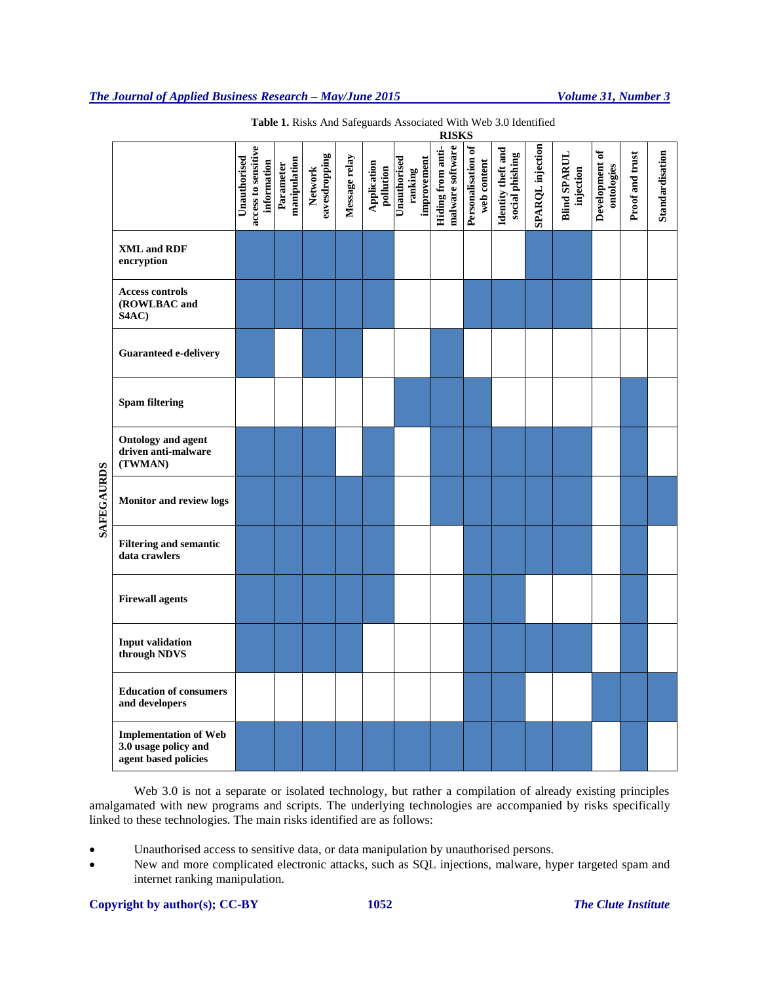|                   |                                                                              | access to sensitive<br>Unauthorised<br>information | manipulation<br>Parameter | eavesdropping<br><b>Network</b> | Message relay | Application<br>pollution | Unauthorised<br>improvement<br>ranking | malware software<br>Hiding from anti- | Personalisation of<br>web content | Identity theft and<br>social phishing | SPARQL injection | <b>Blind SPARUL</b><br>injection | Development of<br>ontologies | Proof and trust | Standardisation |
|-------------------|------------------------------------------------------------------------------|----------------------------------------------------|---------------------------|---------------------------------|---------------|--------------------------|----------------------------------------|---------------------------------------|-----------------------------------|---------------------------------------|------------------|----------------------------------|------------------------------|-----------------|-----------------|
| <b>SAFEGAURDS</b> | <b>XML and RDF</b><br>encryption                                             |                                                    |                           |                                 |               |                          |                                        |                                       |                                   |                                       |                  |                                  |                              |                 |                 |
|                   | <b>Access controls</b><br>(ROWLBAC and<br>S4AC)                              |                                                    |                           |                                 |               |                          |                                        |                                       |                                   |                                       |                  |                                  |                              |                 |                 |
|                   | <b>Guaranteed e-delivery</b>                                                 |                                                    |                           |                                 |               |                          |                                        |                                       |                                   |                                       |                  |                                  |                              |                 |                 |
|                   | <b>Spam filtering</b>                                                        |                                                    |                           |                                 |               |                          |                                        |                                       |                                   |                                       |                  |                                  |                              |                 |                 |
|                   | <b>Ontology and agent</b><br>driven anti-malware<br>(TWMAN)                  |                                                    |                           |                                 |               |                          |                                        |                                       |                                   |                                       |                  |                                  |                              |                 |                 |
|                   | <b>Monitor and review logs</b>                                               |                                                    |                           |                                 |               |                          |                                        |                                       |                                   |                                       |                  |                                  |                              |                 |                 |
|                   | <b>Filtering and semantic</b><br>data crawlers                               |                                                    |                           |                                 |               |                          |                                        |                                       |                                   |                                       |                  |                                  |                              |                 |                 |
|                   | <b>Firewall agents</b>                                                       |                                                    |                           |                                 |               |                          |                                        |                                       |                                   |                                       |                  |                                  |                              |                 |                 |
|                   | <b>Input validation</b><br>through NDVS                                      |                                                    |                           |                                 |               |                          |                                        |                                       |                                   |                                       |                  |                                  |                              |                 |                 |
|                   | <b>Education of consumers</b><br>and developers                              |                                                    |                           |                                 |               |                          |                                        |                                       |                                   |                                       |                  |                                  |                              |                 |                 |
|                   | <b>Implementation of Web</b><br>3.0 usage policy and<br>agent based policies |                                                    |                           |                                 |               |                          |                                        |                                       |                                   |                                       |                  |                                  |                              |                 |                 |

**Table 1.** Risks And Safeguards Associated With Web 3.0 Identified **RISKS**

Web 3.0 is not a separate or isolated technology, but rather a compilation of already existing principles amalgamated with new programs and scripts. The underlying technologies are accompanied by risks specifically linked to these technologies. The main risks identified are as follows:

Unauthorised access to sensitive data, or data manipulation by unauthorised persons.

 New and more complicated electronic attacks, such as SQL injections, malware, hyper targeted spam and internet ranking manipulation.

# **Copyright by author(s); CC-BY 1052** *The Clute Institute*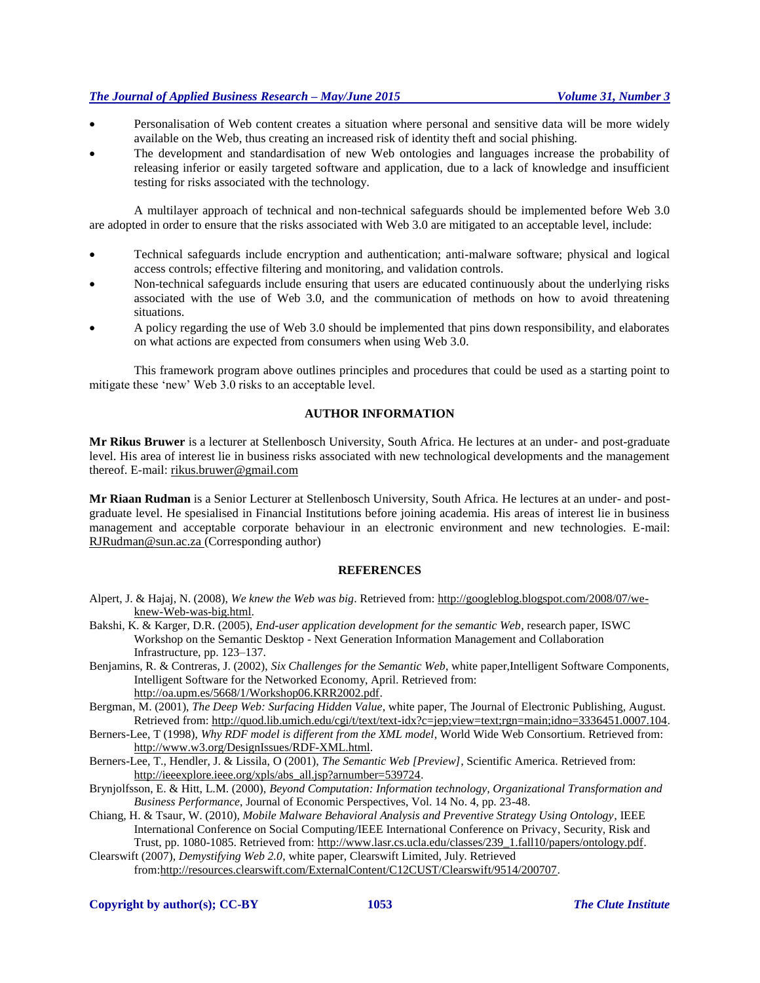- Personalisation of Web content creates a situation where personal and sensitive data will be more widely available on the Web, thus creating an increased risk of identity theft and social phishing.
- The development and standardisation of new Web ontologies and languages increase the probability of releasing inferior or easily targeted software and application, due to a lack of knowledge and insufficient testing for risks associated with the technology.

A multilayer approach of technical and non-technical safeguards should be implemented before Web 3.0 are adopted in order to ensure that the risks associated with Web 3.0 are mitigated to an acceptable level, include:

- Technical safeguards include encryption and authentication; anti-malware software; physical and logical access controls; effective filtering and monitoring, and validation controls.
- Non-technical safeguards include ensuring that users are educated continuously about the underlying risks associated with the use of Web 3.0, and the communication of methods on how to avoid threatening situations.
- A policy regarding the use of Web 3.0 should be implemented that pins down responsibility, and elaborates on what actions are expected from consumers when using Web 3.0.

This framework program above outlines principles and procedures that could be used as a starting point to mitigate these 'new' Web 3.0 risks to an acceptable level.

#### **AUTHOR INFORMATION**

**Mr Rikus Bruwer** is a lecturer at Stellenbosch University, South Africa. He lectures at an under- and post-graduate level. His area of interest lie in business risks associated with new technological developments and the management thereof. E-mail: rikus.bruwer@gmail.com

**Mr Riaan Rudman** is a Senior Lecturer at Stellenbosch University, South Africa. He lectures at an under- and postgraduate level. He spesialised in Financial Institutions before joining academia. His areas of interest lie in business management and acceptable corporate behaviour in an electronic environment and new technologies. E-mail: [RJRudman@sun.ac.za](mailto:RJRudman@sun.ac.za) (Corresponding author)

#### **REFERENCES**

- Alpert, J. & Hajaj, N. (2008), *We knew the Web was big*. Retrieved from: http://googleblog.blogspot.com/2008/07/weknew-Web-was-big.html.
- Bakshi, K. & Karger, D.R. (2005), *End-user application development for the semantic Web*, research paper, ISWC Workshop on the Semantic Desktop - Next Generation Information Management and Collaboration Infrastructure, pp. 123–137.
- Benjamins, R. & Contreras, J. (2002), *Six Challenges for the Semantic Web*, white paper,Intelligent Software Components, Intelligent Software for the Networked Economy, April. Retrieved from: [http://oa.upm.es/5668/1/Workshop06.KRR2002.pdf.](http://oa.upm.es/5668/1/Workshop06.KRR2002.pdf)
- Bergman, M. (2001), *The Deep Web: Surfacing Hidden Value*, white paper, The Journal of Electronic Publishing, August. Retrieved from: [http://quod.lib.umich.edu/cgi/t/text/text-idx?c=jep;view=text;rgn=main;idno=3336451.0007.104.](http://quod.lib.umich.edu/cgi/t/text/text-idx?c=jep;view=text;rgn=main;idno=3336451.0007.104)
- Berners-Lee, T (1998), *Why RDF model is different from the XML model*, World Wide Web Consortium. Retrieved from: [http://www.w3.org/DesignIssues/RDF-XML.html.](http://www.w3.org/DesignIssues/RDF-XML.html)
- Berners-Lee, T., Hendler, J. & Lissila, O (2001), *The Semantic Web [Preview]*, Scientific America. Retrieved from: [http://ieeexplore.ieee.org/xpls/abs\\_all.jsp?arnumber=539724.](http://ieeexplore.ieee.org/xpls/abs_all.jsp?arnumber=539724)

Brynjolfsson, E. & Hitt, L.M. (2000), *Beyond Computation: Information technology, Organizational Transformation and Business Performance*, Journal of Economic Perspectives, Vol. 14 No. 4, pp. 23-48.

- Chiang, H. & Tsaur, W. (2010), *Mobile Malware Behavioral Analysis and Preventive Strategy Using Ontology*, IEEE International Conference on Social Computing/IEEE International Conference on Privacy, Security, Risk and Trust, pp. 1080-1085. Retrieved from: [http://www.lasr.cs.ucla.edu/classes/239\\_1.fall10/papers/ontology.pdf.](http://www.lasr.cs.ucla.edu/classes/239_1.fall10/papers/ontology.pdf)
- Clearswift (2007), *Demystifying Web 2.0*, white paper, Clearswift Limited, July. Retrieved from[:http://resources.clearswift.com/ExternalContent/C12CUST/Clearswift/9514/200707.](http://resources.clearswift.com/ExternalContent/C12CUST/Clearswift/9514/200707)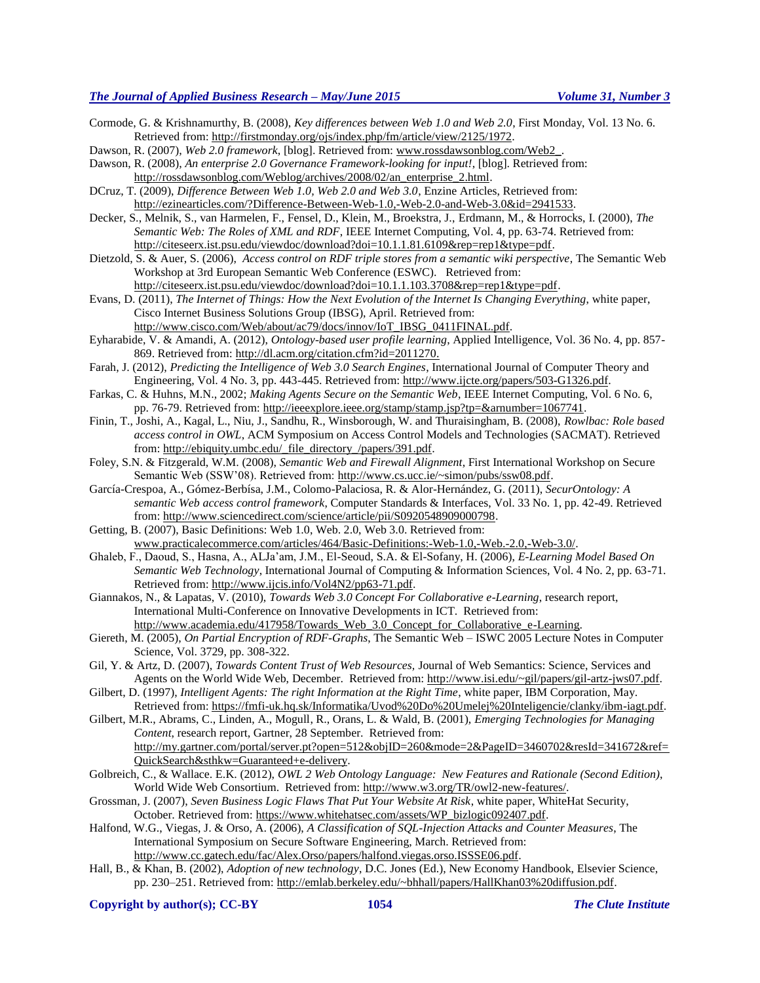Cormode, G. & Krishnamurthy, B. (2008), *Key differences between Web 1.0 and Web 2.0*, First Monday, Vol. 13 No. 6. Retrieved from: [http://firstmonday.org/ojs/index.php/fm/article/view/2125/1972.](http://firstmonday.org/ojs/index.php/fm/article/view/2125/1972)

Dawson, R. (2007), *Web 2.0 framework*, [blog]. Retrieved from: [www.rossdawsonblog.com/Web2\\_.](http://www.rossdawsonblog.com/Web2_)

- Dawson, R. (2008), *An enterprise 2.0 Governance Framework-looking for input!*, [blog]. Retrieved from: [http://rossdawsonblog.com/Weblog/archives/2008/02/an\\_enterprise\\_2.html.](http://rossdawsonblog.com/weblog/archives/2008/02/an_enterprise_2.html)
- DCruz, T. (2009), *Difference Between Web 1.0, Web 2.0 and Web 3.0*, Enzine Articles, Retrieved from: [http://ezinearticles.com/?Difference-Between-Web-1.0,-Web-2.0-and-Web-3.0&id=2941533.](http://ezinearticles.com/?Difference-Between-Web-1.0,-Web-2.0-and-Web-3.0&id=2941533)

Decker, S., Melnik, S., van Harmelen, F., Fensel, D., Klein, M., Broekstra, J., Erdmann, M., & Horrocks, I. (2000), *The Semantic Web: The Roles of XML and RDF*, IEEE Internet Computing, Vol. 4, pp. 63-74. Retrieved from: [http://citeseerx.ist.psu.edu/viewdoc/download?doi=10.1.1.81.6109&rep=rep1&type=pdf.](http://citeseerx.ist.psu.edu/viewdoc/download?doi=10.1.1.81.6109&rep=rep1&type=pdf)

- Dietzold, S. & Auer, S. (2006), *Access control on RDF triple stores from a semantic wiki perspective*, The Semantic Web Workshop at 3rd European Semantic Web Conference (ESWC). Retrieved from: [http://citeseerx.ist.psu.edu/viewdoc/download?doi=10.1.1.103.3708&rep=rep1&type=pdf.](http://citeseerx.ist.psu.edu/viewdoc/download?doi=10.1.1.103.3708&rep=rep1&type=pdf)
- Evans, D. (2011), *The Internet of Things: How the Next Evolution of the Internet Is Changing Everything*, white paper, Cisco Internet Business Solutions Group (IBSG), April. Retrieved from:

[http://www.cisco.com/Web/about/ac79/docs/innov/IoT\\_IBSG\\_0411FINAL.pdf.](http://www.cisco.com/web/about/ac79/docs/innov/IoT_IBSG_0411FINAL.pdf) Eyharabide, V. & Amandi, A. (2012), *Ontology-based user profile learning*, Applied Intelligence, Vol. 36 No. 4, pp. 857-

869. Retrieved from: [http://dl.acm.org/citation.cfm?id=2011270.](http://dl.acm.org/citation.cfm?id=2011270) Farah, J. (2012), *Predicting the Intelligence of Web 3.0 Search Engines*, International Journal of Computer Theory and

Engineering, Vol. 4 No. 3, pp. 443-445. Retrieved from[: http://www.ijcte.org/papers/503-G1326.pdf.](http://www.ijcte.org/papers/503-G1326.pdf) Farkas, C. & Huhns, M.N., 2002; *Making Agents Secure on the Semantic Web*, IEEE Internet Computing, Vol. 6 No. 6,

- pp. 76-79. Retrieved from: [http://ieeexplore.ieee.org/stamp/stamp.jsp?tp=&arnumber=1067741.](http://ieeexplore.ieee.org/stamp/stamp.jsp?tp=&arnumber=1067741)
- Finin, T., Joshi, A., Kagal, L., Niu, J., Sandhu, R., Winsborough, W. and Thuraisingham, B. (2008), *Rowlbac: Role based access control in OWL*, ACM Symposium on Access Control Models and Technologies (SACMAT). Retrieved from[: http://ebiquity.umbc.edu/\\_file\\_directory\\_/papers/391.pdf.](http://ebiquity.umbc.edu/_file_directory_/papers/391.pdf)
- Foley, S.N. & Fitzgerald, W.M. (2008), *Semantic Web and Firewall Alignment*, First International Workshop on Secure Semantic Web (SSW'08). Retrieved from: [http://www.cs.ucc.ie/~simon/pubs/ssw08.pdf.](http://www.cs.ucc.ie/~simon/pubs/ssw08.pdf)
- García-Crespoa, A., Gómez-Berbísa, J.M., Colomo-Palaciosa, R. & Alor-Hernández, G. (2011), *SecurOntology: A semantic Web access control framework*, Computer Standards & Interfaces, Vol. 33 No. 1, pp. 42-49. Retrieved from[: http://www.sciencedirect.com/science/article/pii/S0920548909000798.](http://www.sciencedirect.com/science/article/pii/S0920548909000798)
- Getting, B. (2007), Basic Definitions: Web 1.0, Web. 2.0, Web 3.0. Retrieved from: [www.practicalecommerce.com/articles/464/Basic-Definitions:-Web-1.0,-Web.-2.0,-Web-3.0/.](http://www.practicalecommerce.com/articles/464/Basic-Definitions:-Web-1.0,-Web.-2.0,-Web-3.0/)
- Ghaleb, F., Daoud, S., Hasna, A., ALJa'am, J.M., El-Seoud, S.A. & El-Sofany, H. (2006), *E-Learning Model Based On Semantic Web Technology*, International Journal of Computing & Information Sciences, Vol. 4 No. 2, pp. 63-71. Retrieved from: [http://www.ijcis.info/Vol4N2/pp63-71.pdf.](http://www.ijcis.info/Vol4N2/pp63-71.pdf)

Giannakos, N., & Lapatas, V. (2010), *Towards Web 3.0 Concept For Collaborative e-Learning*, research report, International Multi-Conference on Innovative Developments in ICT. Retrieved from: [http://www.academia.edu/417958/Towards\\_Web\\_3.0\\_Concept\\_for\\_Collaborative\\_e-Learning.](http://www.academia.edu/417958/Towards_Web_3.0_Concept_for_Collaborative_e-Learning)

- Giereth, M. (2005), *On Partial Encryption of RDF-Graphs*, The Semantic Web ISWC 2005 Lecture Notes in Computer Science, Vol. 3729, pp. 308-322.
- Gil, Y. & Artz, D. (2007), *Towards Content Trust of Web Resources,* Journal of Web Semantics: Science, Services and Agents on the World Wide Web, December. Retrieved from: [http://www.isi.edu/~gil/papers/gil-artz-jws07.pdf.](http://www.isi.edu/~gil/papers/gil-artz-jws07.pdf)
- Gilbert, D. (1997), *Intelligent Agents: The right Information at the Right Time*, white paper, IBM Corporation, May. Retrieved from: [https://fmfi-uk.hq.sk/Informatika/Uvod%20Do%20Umelej%20Inteligencie/clanky/ibm-iagt.pdf.](https://fmfi-uk.hq.sk/Informatika/Uvod%20Do%20Umelej%20Inteligencie/clanky/ibm-iagt.pdf)
- Gilbert, M.R., Abrams, C., Linden, A., Mogull, R., Orans, L. & Wald, B. (2001), *Emerging Technologies for Managing Content*, research report, Gartner, 28 September. Retrieved from: [http://my.gartner.com/portal/server.pt?open=512&objID=260&mode=2&PageID=3460702&resId=341672&ref=](http://my.gartner.com/portal/server.pt?open=512&objID=260&mode=2&PageID=3460702&resId=341672&ref=QuickSearch&sthkw=Guaranteed+e-delivery) [QuickSearch&sthkw=Guaranteed+e-delivery.](http://my.gartner.com/portal/server.pt?open=512&objID=260&mode=2&PageID=3460702&resId=341672&ref=QuickSearch&sthkw=Guaranteed+e-delivery)
- Golbreich, C., & Wallace. E.K. (2012), *OWL 2 Web Ontology Language: New Features and Rationale (Second Edition)*, World Wide Web Consortium. Retrieved from[: http://www.w3.org/TR/owl2-new-features/.](http://www.w3.org/TR/owl2-new-features/)
- Grossman, J. (2007), *Seven Business Logic Flaws That Put Your Website At Risk*, white paper, WhiteHat Security, October. Retrieved from: [https://www.whitehatsec.com/assets/WP\\_bizlogic092407.pdf.](https://www.whitehatsec.com/assets/WP_bizlogic092407.pdf)
- Halfond, W.G., Viegas, J. & Orso, A. (2006), *A Classification of SQL-Injection Attacks and Counter Measures*, The International Symposium on Secure Software Engineering, March. Retrieved from: [http://www.cc.gatech.edu/fac/Alex.Orso/papers/halfond.viegas.orso.ISSSE06.pdf.](http://www.cc.gatech.edu/fac/Alex.Orso/papers/halfond.viegas.orso.ISSSE06.pdf)
- Hall, B., & Khan, B. (2002), *Adoption of new technology*, D.C. Jones (Ed.), New Economy Handbook, Elsevier Science, pp. 230–251. Retrieved from: [http://emlab.berkeley.edu/~bhhall/papers/HallKhan03%20diffusion.pdf.](http://emlab.berkeley.edu/~bhhall/papers/HallKhan03%20diffusion.pdf)

**Copyright by author(s); CC-BY 1054** *The Clute Institute*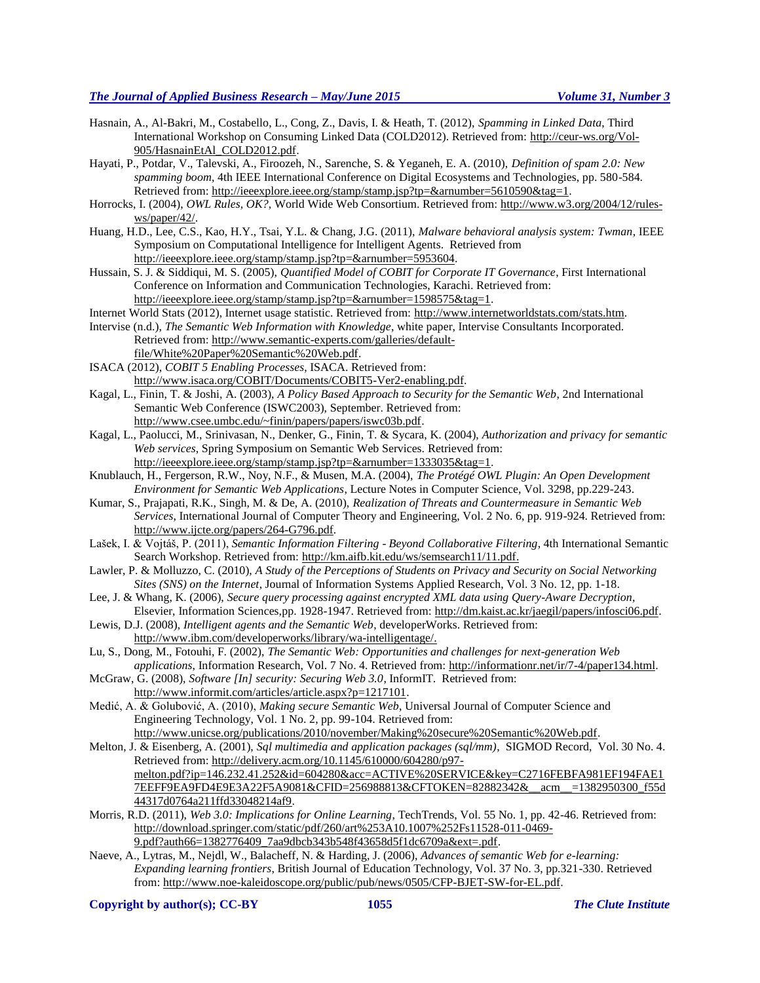- Hasnain, A., Al-Bakri, M., Costabello, L., Cong, Z., Davis, I. & Heath, T. (2012), *Spamming in Linked Data*, Third International Workshop on Consuming Linked Data (COLD2012). Retrieved from: [http://ceur-ws.org/Vol-](http://ceur-ws.org/Vol-905/HasnainEtAl_COLD2012.pdf)[905/HasnainEtAl\\_COLD2012.pdf.](http://ceur-ws.org/Vol-905/HasnainEtAl_COLD2012.pdf)
- Hayati, P., Potdar, V., Talevski, A., Firoozeh, N., Sarenche, S. & Yeganeh, E. A. (2010), *Definition of spam 2.0: New spamming boom*, 4th IEEE International Conference on Digital Ecosystems and Technologies, pp. 580-584. Retrieved from: [http://ieeexplore.ieee.org/stamp/stamp.jsp?tp=&arnumber=5610590&tag=1.](http://ieeexplore.ieee.org/stamp/stamp.jsp?tp=&arnumber=5610590&tag=1)
- Horrocks, I. (2004), *OWL Rules, OK?,* World Wide Web Consortium. Retrieved from: [http://www.w3.org/2004/12/rules](http://www.w3.org/2004/12/rules-ws/paper/42/)[ws/paper/42/.](http://www.w3.org/2004/12/rules-ws/paper/42/)
- Huang, H.D., Lee, C.S., Kao, H.Y., Tsai, Y.L. & Chang, J.G. (2011), *Malware behavioral analysis system: Twman*, IEEE Symposium on Computational Intelligence for Intelligent Agents. Retrieved from [http://ieeexplore.ieee.org/stamp/stamp.jsp?tp=&arnumber=5953604.](http://ieeexplore.ieee.org/stamp/stamp.jsp?tp=&arnumber=5953604)
- Hussain, S. J. & Siddiqui, M. S. (2005), *Quantified Model of COBIT for Corporate IT Governance*, First International Conference on Information and Communication Technologies, Karachi. Retrieved from: [http://ieeexplore.ieee.org/stamp/stamp.jsp?tp=&arnumber=1598575&tag=1.](http://ieeexplore.ieee.org/stamp/stamp.jsp?tp=&arnumber=1598575&tag=1)
- Internet World Stats (2012), Internet usage statistic. Retrieved from: [http://www.internetworldstats.com/stats.htm.](http://www.internetworldstats.com/stats.htm)
- Intervise (n.d.), *The Semantic Web Information with Knowledge*, white paper, Intervise Consultants Incorporated. Retrieved from: [http://www.semantic-experts.com/galleries/default](http://www.semantic-experts.com/galleries/default-file/White%20Paper%20Semantic%20Web.pdf)[file/White%20Paper%20Semantic%20Web.pdf.](http://www.semantic-experts.com/galleries/default-file/White%20Paper%20Semantic%20Web.pdf)
- ISACA (2012), *COBIT 5 Enabling Processes*, ISACA. Retrieved from: [http://www.isaca.org/COBIT/Documents/COBIT5-Ver2-enabling.pdf.](http://www.isaca.org/COBIT/Documents/COBIT5-Ver2-enabling.pdf)
- Kagal, L., Finin, T. & Joshi, A. (2003), *A Policy Based Approach to Security for the Semantic Web*, 2nd International Semantic Web Conference (ISWC2003), September. Retrieved from: [http://www.csee.umbc.edu/~finin/papers/papers/iswc03b.pdf.](http://www.csee.umbc.edu/~finin/papers/papers/iswc03b.pdf)
- Kagal, L., Paolucci, M., Srinivasan, N., Denker, G., Finin, T. & Sycara, K. (2004), *Authorization and privacy for semantic Web services*, Spring Symposium on Semantic Web Services. Retrieved from: [http://ieeexplore.ieee.org/stamp/stamp.jsp?tp=&arnumber=1333035&tag=1.](http://ieeexplore.ieee.org/stamp/stamp.jsp?tp=&arnumber=1333035&tag=1)
- Knublauch, H., Fergerson, R.W., Noy, N.F., & Musen, M.A. (2004), *The Protégé OWL Plugin: An Open Development Environment for Semantic Web Applications*, Lecture Notes in Computer Science, Vol. 3298, pp.229-243.
- Kumar, S., Prajapati, R.K., Singh, M. & De, A. (2010), *Realization of Threats and Countermeasure in Semantic Web Services*, International Journal of Computer Theory and Engineering, Vol. 2 No. 6, pp. 919-924. Retrieved from: [http://www.ijcte.org/papers/264-G796.pdf.](http://www.ijcte.org/papers/264-G796.pdf)
- Lašek, I. & Vojtáš, P. (2011), *Semantic Information Filtering - Beyond Collaborative Filtering*, 4th International Semantic Search Workshop. Retrieved from: [http://km.aifb.kit.edu/ws/semsearch11/11.pdf.](http://km.aifb.kit.edu/ws/semsearch11/11.pdf)
- Lawler, P. & Molluzzo, C. (2010), *A Study of the Perceptions of Students on Privacy and Security on Social Networking Sites (SNS) on the Internet*, Journal of Information Systems Applied Research, Vol. 3 No. 12, pp. 1-18.
- Lee, J. & Whang, K. (2006), *Secure query processing against encrypted XML data using Query-Aware Decryption*, Elsevier, Information Sciences,pp. 1928-1947. Retrieved from: [http://dm.kaist.ac.kr/jaegil/papers/infosci06.pdf.](http://dm.kaist.ac.kr/jaegil/papers/infosci06.pdf)
- Lewis, D.J. (2008), *Intelligent agents and the Semantic Web*, developerWorks. Retrieved from: [http://www.ibm.com/developerworks/library/wa-intelligentage/.](http://www.ibm.com/developerworks/library/wa-intelligentage/)
- Lu, S., Dong, M., Fotouhi, F. (2002), *The Semantic Web: Opportunities and challenges for next-generation Web applications*, Information Research, Vol. 7 No. 4. Retrieved from: [http://informationr.net/ir/7-4/paper134.html.](http://informationr.net/ir/7-4/paper134.html)
- McGraw, G. (2008), *Software [In] security: Securing Web 3.0*, InformIT. Retrieved from: [http://www.informit.com/articles/article.aspx?p=1217101.](http://www.informit.com/articles/article.aspx?p=1217101)
- Medić, A. & Golubović, A. (2010), *Making secure Semantic Web*, Universal Journal of Computer Science and Engineering Technology, Vol. 1 No. 2, pp. 99-104. Retrieved from: [http://www.unicse.org/publications/2010/november/Making%20secure%20Semantic%20Web.pdf.](http://www.unicse.org/publications/2010/november/Making%20secure%20Semantic%20Web.pdf)
- Melton, J. & Eisenberg, A. (2001), *Sql multimedia and application packages (sql/mm)*, SIGMOD Record, Vol. 30 No. 4. Retrieved from: [http://delivery.acm.org/10.1145/610000/604280/p97](http://delivery.acm.org/10.1145/610000/604280/p97-melton.pdf?ip=146.232.41.252&id=604280&acc=ACTIVE%20SERVICE&key=C2716FEBFA981EF194FAE17EEFF9EA9FD4E9E3A22F5A9081&CFID=256988813&CFTOKEN=82882342&__acm__=1382950300_f55d44317d0764a211ffd33048214af9) [melton.pdf?ip=146.232.41.252&id=604280&acc=ACTIVE%20SERVICE&key=C2716FEBFA981EF194FAE1](http://delivery.acm.org/10.1145/610000/604280/p97-melton.pdf?ip=146.232.41.252&id=604280&acc=ACTIVE%20SERVICE&key=C2716FEBFA981EF194FAE17EEFF9EA9FD4E9E3A22F5A9081&CFID=256988813&CFTOKEN=82882342&__acm__=1382950300_f55d44317d0764a211ffd33048214af9) [7EEFF9EA9FD4E9E3A22F5A9081&CFID=256988813&CFTOKEN=82882342&\\_\\_acm\\_\\_=1382950300\\_f55d](http://delivery.acm.org/10.1145/610000/604280/p97-melton.pdf?ip=146.232.41.252&id=604280&acc=ACTIVE%20SERVICE&key=C2716FEBFA981EF194FAE17EEFF9EA9FD4E9E3A22F5A9081&CFID=256988813&CFTOKEN=82882342&__acm__=1382950300_f55d44317d0764a211ffd33048214af9) [44317d0764a211ffd33048214af9.](http://delivery.acm.org/10.1145/610000/604280/p97-melton.pdf?ip=146.232.41.252&id=604280&acc=ACTIVE%20SERVICE&key=C2716FEBFA981EF194FAE17EEFF9EA9FD4E9E3A22F5A9081&CFID=256988813&CFTOKEN=82882342&__acm__=1382950300_f55d44317d0764a211ffd33048214af9)
- Morris, R.D. (2011), *Web 3.0: Implications for Online Learning*, TechTrends, Vol. 55 No. 1, pp. 42-46. Retrieved from: [http://download.springer.com/static/pdf/260/art%253A10.1007%252Fs11528-011-0469-](http://download.springer.com/static/pdf/260/art%253A10.1007%252Fs11528-011-0469-9.pdf?auth66=1382776409_7aa9dbcb343b548f43658d5f1dc6709a&ext=.pdf) [9.pdf?auth66=1382776409\\_7aa9dbcb343b548f43658d5f1dc6709a&ext=.pdf.](http://download.springer.com/static/pdf/260/art%253A10.1007%252Fs11528-011-0469-9.pdf?auth66=1382776409_7aa9dbcb343b548f43658d5f1dc6709a&ext=.pdf)
- Naeve, A., Lytras, M., Nejdl, W., Balacheff, N. & Harding, J. (2006), *Advances of semantic Web for e-learning: Expanding learning frontiers*, British Journal of Education Technology, Vol. 37 No. 3, pp.321-330. Retrieved from[: http://www.noe-kaleidoscope.org/public/pub/news/0505/CFP-BJET-SW-for-EL.pdf.](http://www.noe-kaleidoscope.org/public/pub/news/0505/CFP-BJET-SW-for-EL.pdf)